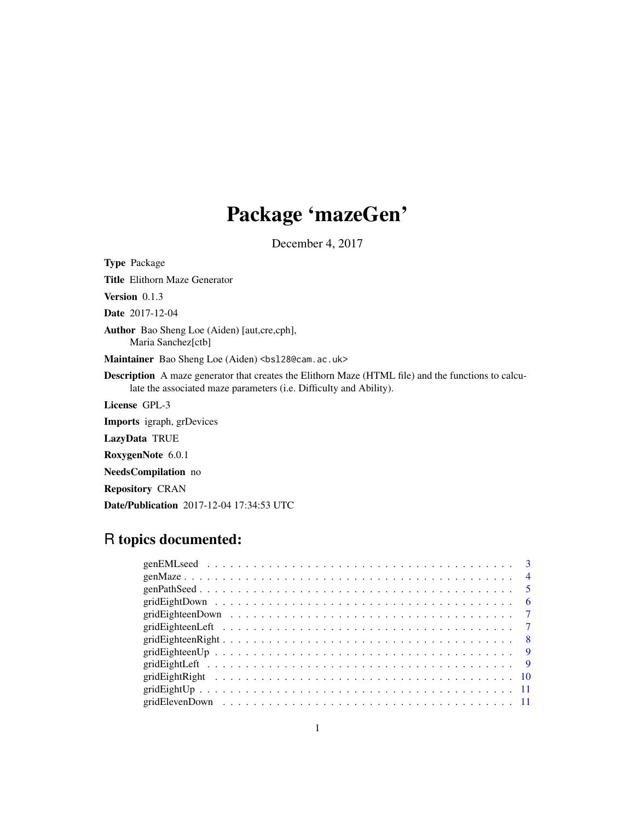# Package 'mazeGen'

December 4, 2017

Type Package Title Elithorn Maze Generator Version 0.1.3 Date 2017-12-04 Author Bao Sheng Loe (Aiden) [aut,cre,cph], Maria Sanchez[ctb] Maintainer Bao Sheng Loe (Aiden) <br/>bs128@cam.ac.uk> Description A maze generator that creates the Elithorn Maze (HTML file) and the functions to calculate the associated maze parameters (i.e. Difficulty and Ability). License GPL-3 Imports igraph, grDevices LazyData TRUE RoxygenNote 6.0.1 NeedsCompilation no Repository CRAN Date/Publication 2017-12-04 17:34:53 UTC

# R topics documented:

|  |  |  |  |  |  |  |  |  |  |  |  |  |  |  |  |  |  |  | $\overline{4}$ |
|--|--|--|--|--|--|--|--|--|--|--|--|--|--|--|--|--|--|--|----------------|
|  |  |  |  |  |  |  |  |  |  |  |  |  |  |  |  |  |  |  | $\sqrt{5}$     |
|  |  |  |  |  |  |  |  |  |  |  |  |  |  |  |  |  |  |  | - 6            |
|  |  |  |  |  |  |  |  |  |  |  |  |  |  |  |  |  |  |  |                |
|  |  |  |  |  |  |  |  |  |  |  |  |  |  |  |  |  |  |  |                |
|  |  |  |  |  |  |  |  |  |  |  |  |  |  |  |  |  |  |  |                |
|  |  |  |  |  |  |  |  |  |  |  |  |  |  |  |  |  |  |  |                |
|  |  |  |  |  |  |  |  |  |  |  |  |  |  |  |  |  |  |  |                |
|  |  |  |  |  |  |  |  |  |  |  |  |  |  |  |  |  |  |  |                |
|  |  |  |  |  |  |  |  |  |  |  |  |  |  |  |  |  |  |  |                |
|  |  |  |  |  |  |  |  |  |  |  |  |  |  |  |  |  |  |  |                |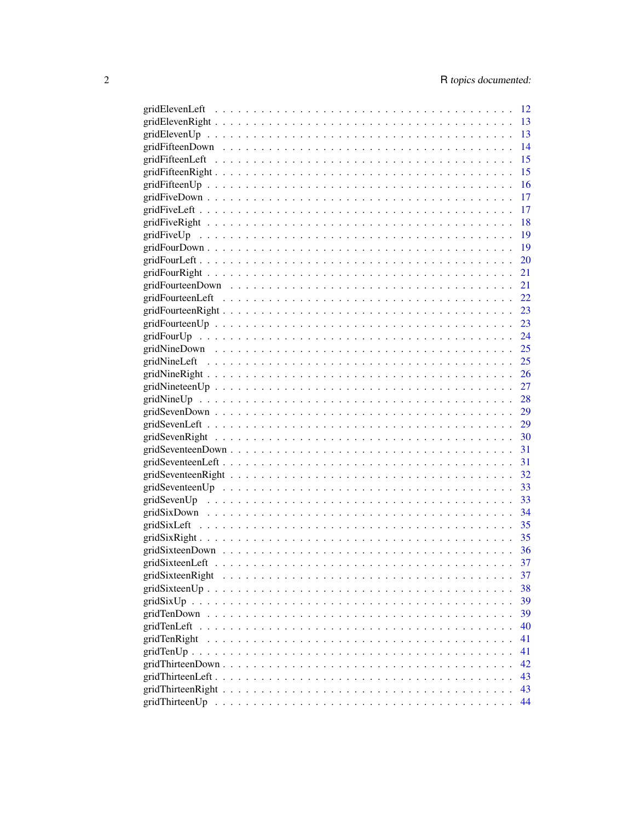|                                                                                                              |  |  |  |  |  |  |  |  |  |  |  |  |  | 12        |
|--------------------------------------------------------------------------------------------------------------|--|--|--|--|--|--|--|--|--|--|--|--|--|-----------|
|                                                                                                              |  |  |  |  |  |  |  |  |  |  |  |  |  | 13        |
|                                                                                                              |  |  |  |  |  |  |  |  |  |  |  |  |  | 13        |
|                                                                                                              |  |  |  |  |  |  |  |  |  |  |  |  |  | 14        |
|                                                                                                              |  |  |  |  |  |  |  |  |  |  |  |  |  | 15        |
|                                                                                                              |  |  |  |  |  |  |  |  |  |  |  |  |  | 15        |
|                                                                                                              |  |  |  |  |  |  |  |  |  |  |  |  |  | -16       |
|                                                                                                              |  |  |  |  |  |  |  |  |  |  |  |  |  | 17        |
|                                                                                                              |  |  |  |  |  |  |  |  |  |  |  |  |  | 17        |
|                                                                                                              |  |  |  |  |  |  |  |  |  |  |  |  |  | 18        |
| $gridFiveUp \dots \dots \dots \dots \dots \dots \dots \dots \dots \dots \dots \dots \dots \dots \dots \dots$ |  |  |  |  |  |  |  |  |  |  |  |  |  | 19        |
|                                                                                                              |  |  |  |  |  |  |  |  |  |  |  |  |  | 19        |
|                                                                                                              |  |  |  |  |  |  |  |  |  |  |  |  |  | <b>20</b> |
|                                                                                                              |  |  |  |  |  |  |  |  |  |  |  |  |  | 21        |
|                                                                                                              |  |  |  |  |  |  |  |  |  |  |  |  |  | - 21      |
|                                                                                                              |  |  |  |  |  |  |  |  |  |  |  |  |  |           |
|                                                                                                              |  |  |  |  |  |  |  |  |  |  |  |  |  |           |
|                                                                                                              |  |  |  |  |  |  |  |  |  |  |  |  |  |           |
|                                                                                                              |  |  |  |  |  |  |  |  |  |  |  |  |  |           |
|                                                                                                              |  |  |  |  |  |  |  |  |  |  |  |  |  |           |
|                                                                                                              |  |  |  |  |  |  |  |  |  |  |  |  |  |           |
|                                                                                                              |  |  |  |  |  |  |  |  |  |  |  |  |  |           |
|                                                                                                              |  |  |  |  |  |  |  |  |  |  |  |  |  |           |
|                                                                                                              |  |  |  |  |  |  |  |  |  |  |  |  |  |           |
|                                                                                                              |  |  |  |  |  |  |  |  |  |  |  |  |  |           |
|                                                                                                              |  |  |  |  |  |  |  |  |  |  |  |  |  |           |
|                                                                                                              |  |  |  |  |  |  |  |  |  |  |  |  |  |           |
|                                                                                                              |  |  |  |  |  |  |  |  |  |  |  |  |  |           |
|                                                                                                              |  |  |  |  |  |  |  |  |  |  |  |  |  |           |
|                                                                                                              |  |  |  |  |  |  |  |  |  |  |  |  |  |           |
|                                                                                                              |  |  |  |  |  |  |  |  |  |  |  |  |  |           |
|                                                                                                              |  |  |  |  |  |  |  |  |  |  |  |  |  |           |
|                                                                                                              |  |  |  |  |  |  |  |  |  |  |  |  |  |           |
|                                                                                                              |  |  |  |  |  |  |  |  |  |  |  |  |  |           |
|                                                                                                              |  |  |  |  |  |  |  |  |  |  |  |  |  |           |
|                                                                                                              |  |  |  |  |  |  |  |  |  |  |  |  |  |           |
|                                                                                                              |  |  |  |  |  |  |  |  |  |  |  |  |  | 37        |
| gridSixteenRight                                                                                             |  |  |  |  |  |  |  |  |  |  |  |  |  | 37        |
|                                                                                                              |  |  |  |  |  |  |  |  |  |  |  |  |  | 38        |
|                                                                                                              |  |  |  |  |  |  |  |  |  |  |  |  |  | 39        |
|                                                                                                              |  |  |  |  |  |  |  |  |  |  |  |  |  | 39        |
|                                                                                                              |  |  |  |  |  |  |  |  |  |  |  |  |  | 40        |
| gridTenRight                                                                                                 |  |  |  |  |  |  |  |  |  |  |  |  |  | 41        |
|                                                                                                              |  |  |  |  |  |  |  |  |  |  |  |  |  | 41        |
|                                                                                                              |  |  |  |  |  |  |  |  |  |  |  |  |  | 42        |
|                                                                                                              |  |  |  |  |  |  |  |  |  |  |  |  |  | 43        |
|                                                                                                              |  |  |  |  |  |  |  |  |  |  |  |  |  | 43        |
|                                                                                                              |  |  |  |  |  |  |  |  |  |  |  |  |  | 44        |
|                                                                                                              |  |  |  |  |  |  |  |  |  |  |  |  |  |           |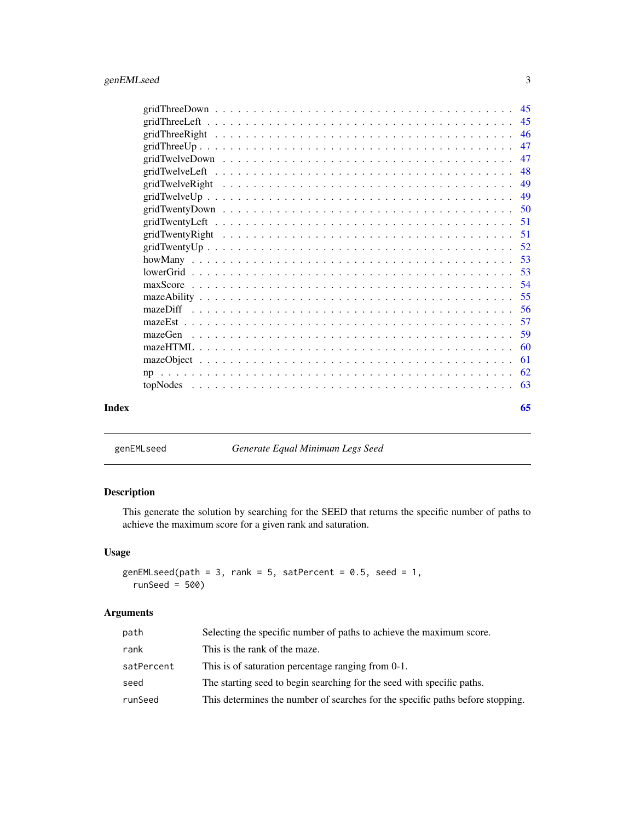<span id="page-2-0"></span>

| mazeGen |     |
|---------|-----|
|         |     |
|         | -61 |
|         |     |
|         |     |
| Index   | 65  |

<span id="page-2-1"></span>genEMLseed *Generate Equal Minimum Legs Seed*

# Description

This generate the solution by searching for the SEED that returns the specific number of paths to achieve the maximum score for a given rank and saturation.

# Usage

```
genEMLseed(path = 3, rank = 5, satPercent = 0.5, seed = 1,
  runSeed = 500)
```
# Arguments

| path       | Selecting the specific number of paths to achieve the maximum score.           |
|------------|--------------------------------------------------------------------------------|
| rank       | This is the rank of the maze.                                                  |
| satPercent | This is of saturation percentage ranging from 0-1.                             |
| seed       | The starting seed to begin searching for the seed with specific paths.         |
| runSeed    | This determines the number of searches for the specific paths before stopping. |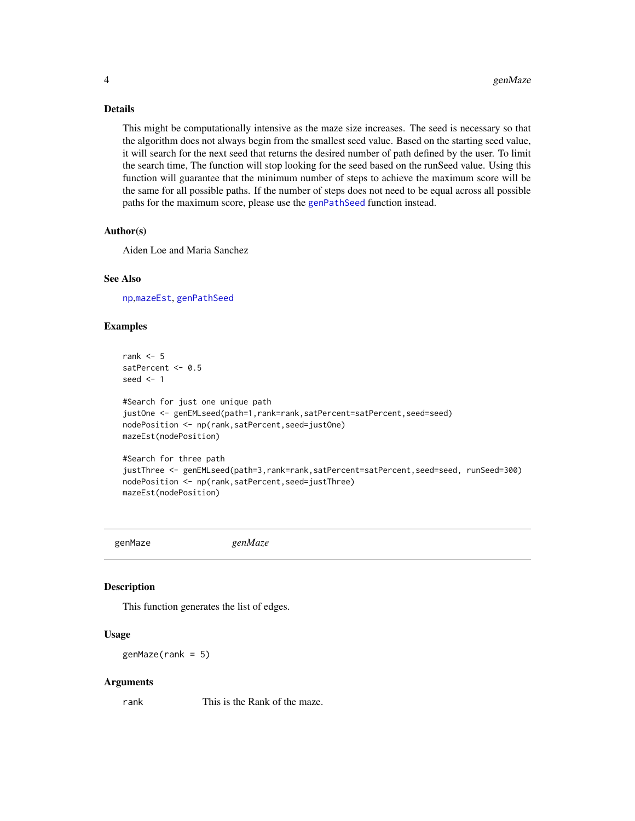# <span id="page-3-0"></span>Details

This might be computationally intensive as the maze size increases. The seed is necessary so that the algorithm does not always begin from the smallest seed value. Based on the starting seed value, it will search for the next seed that returns the desired number of path defined by the user. To limit the search time, The function will stop looking for the seed based on the runSeed value. Using this function will guarantee that the minimum number of steps to achieve the maximum score will be the same for all possible paths. If the number of steps does not need to be equal across all possible paths for the maximum score, please use the [genPathSeed](#page-4-1) function instead.

#### Author(s)

Aiden Loe and Maria Sanchez

#### See Also

[np](#page-61-1),[mazeEst](#page-56-1), [genPathSeed](#page-4-1)

#### Examples

```
rank <-5satPercent <- 0.5
seed <-1
```

```
#Search for just one unique path
justOne <- genEMLseed(path=1,rank=rank,satPercent=satPercent,seed=seed)
nodePosition <- np(rank,satPercent,seed=justOne)
mazeEst(nodePosition)
```

```
#Search for three path
justThree <- genEMLseed(path=3,rank=rank,satPercent=satPercent,seed=seed, runSeed=300)
nodePosition <- np(rank,satPercent,seed=justThree)
mazeEst(nodePosition)
```
genMaze *genMaze*

#### Description

This function generates the list of edges.

#### Usage

 $genMaze(rank = 5)$ 

#### Arguments

rank This is the Rank of the maze.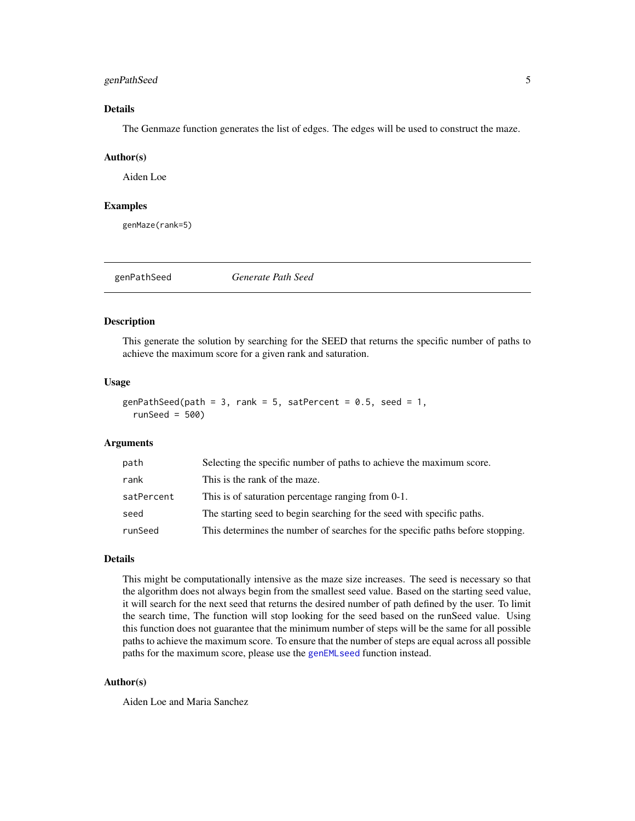#### <span id="page-4-0"></span>genPathSeed 5

# Details

The Genmaze function generates the list of edges. The edges will be used to construct the maze.

#### Author(s)

Aiden Loe

# Examples

genMaze(rank=5)

<span id="page-4-1"></span>

genPathSeed *Generate Path Seed*

#### Description

This generate the solution by searching for the SEED that returns the specific number of paths to achieve the maximum score for a given rank and saturation.

#### Usage

```
genPathSeed(path = 3, rank = 5, satPercent = 0.5, seed = 1,
  runSeed = 500)
```
#### Arguments

| path       | Selecting the specific number of paths to achieve the maximum score.           |
|------------|--------------------------------------------------------------------------------|
| rank       | This is the rank of the maze.                                                  |
| satPercent | This is of saturation percentage ranging from 0-1.                             |
| seed       | The starting seed to begin searching for the seed with specific paths.         |
| runSeed    | This determines the number of searches for the specific paths before stopping. |

#### Details

This might be computationally intensive as the maze size increases. The seed is necessary so that the algorithm does not always begin from the smallest seed value. Based on the starting seed value, it will search for the next seed that returns the desired number of path defined by the user. To limit the search time, The function will stop looking for the seed based on the runSeed value. Using this function does not guarantee that the minimum number of steps will be the same for all possible paths to achieve the maximum score. To ensure that the number of steps are equal across all possible paths for the maximum score, please use the [genEMLseed](#page-2-1) function instead.

#### Author(s)

Aiden Loe and Maria Sanchez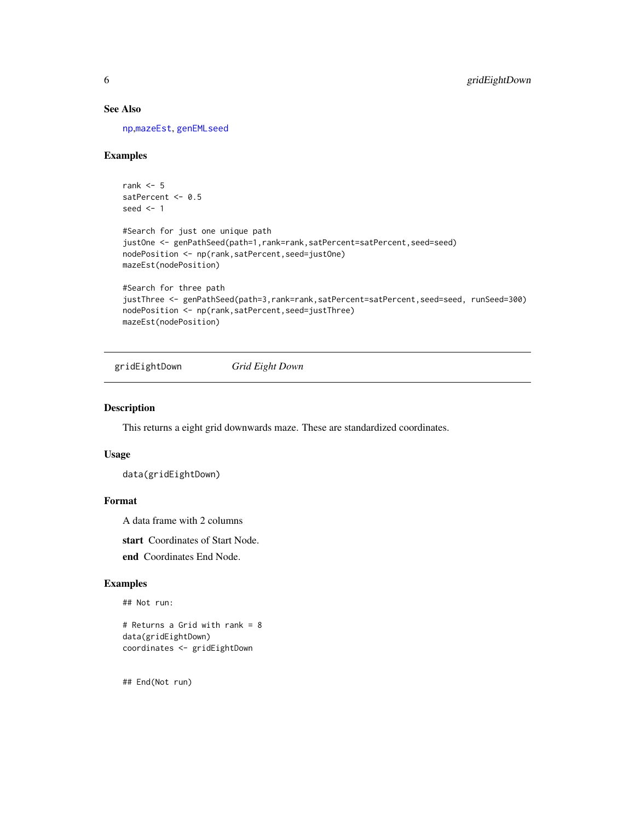# See Also

[np](#page-61-1),[mazeEst](#page-56-1), [genEMLseed](#page-2-1)

#### Examples

```
rank <-5satPercent <- 0.5
seed <-1#Search for just one unique path
justOne <- genPathSeed(path=1,rank=rank,satPercent=satPercent,seed=seed)
nodePosition <- np(rank,satPercent,seed=justOne)
mazeEst(nodePosition)
#Search for three path
justThree <- genPathSeed(path=3,rank=rank,satPercent=satPercent,seed=seed, runSeed=300)
nodePosition <- np(rank,satPercent,seed=justThree)
mazeEst(nodePosition)
```
gridEightDown *Grid Eight Down*

#### Description

This returns a eight grid downwards maze. These are standardized coordinates.

#### Usage

```
data(gridEightDown)
```
#### Format

A data frame with 2 columns

start Coordinates of Start Node.

end Coordinates End Node.

#### Examples

## Not run:

# Returns a Grid with rank = 8 data(gridEightDown) coordinates <- gridEightDown

<span id="page-5-0"></span>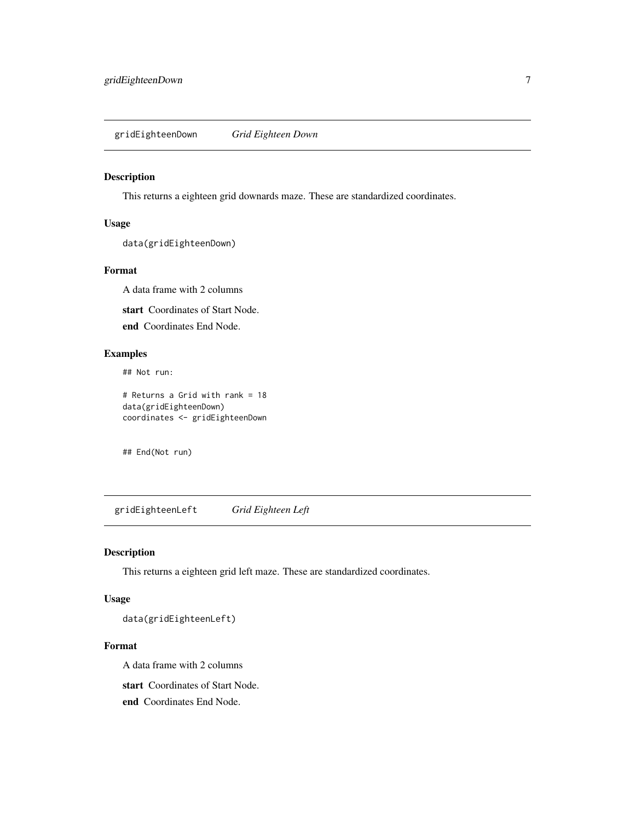<span id="page-6-0"></span>gridEighteenDown *Grid Eighteen Down*

#### Description

This returns a eighteen grid downards maze. These are standardized coordinates.

#### Usage

data(gridEighteenDown)

#### Format

A data frame with 2 columns

start Coordinates of Start Node.

end Coordinates End Node.

# Examples

## Not run:

# Returns a Grid with rank = 18 data(gridEighteenDown) coordinates <- gridEighteenDown

## End(Not run)

gridEighteenLeft *Grid Eighteen Left*

# Description

This returns a eighteen grid left maze. These are standardized coordinates.

# Usage

data(gridEighteenLeft)

#### Format

A data frame with 2 columns

start Coordinates of Start Node.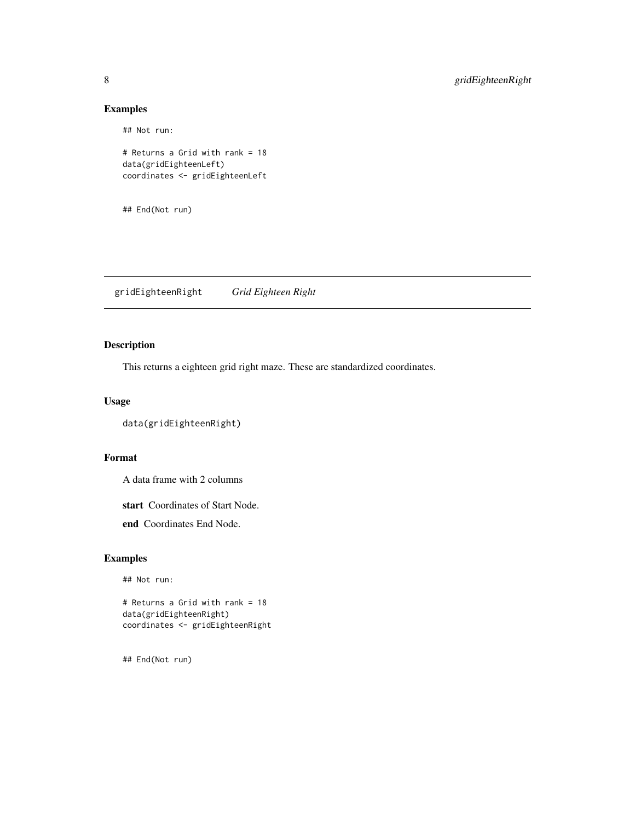## Not run:

```
# Returns a Grid with rank = 18
data(gridEighteenLeft)
coordinates <- gridEighteenLeft
```

```
## End(Not run)
```
gridEighteenRight *Grid Eighteen Right*

# Description

This returns a eighteen grid right maze. These are standardized coordinates.

#### Usage

```
data(gridEighteenRight)
```
#### Format

A data frame with 2 columns

start Coordinates of Start Node.

end Coordinates End Node.

# Examples

## Not run:

# Returns a Grid with rank = 18 data(gridEighteenRight) coordinates <- gridEighteenRight

<span id="page-7-0"></span>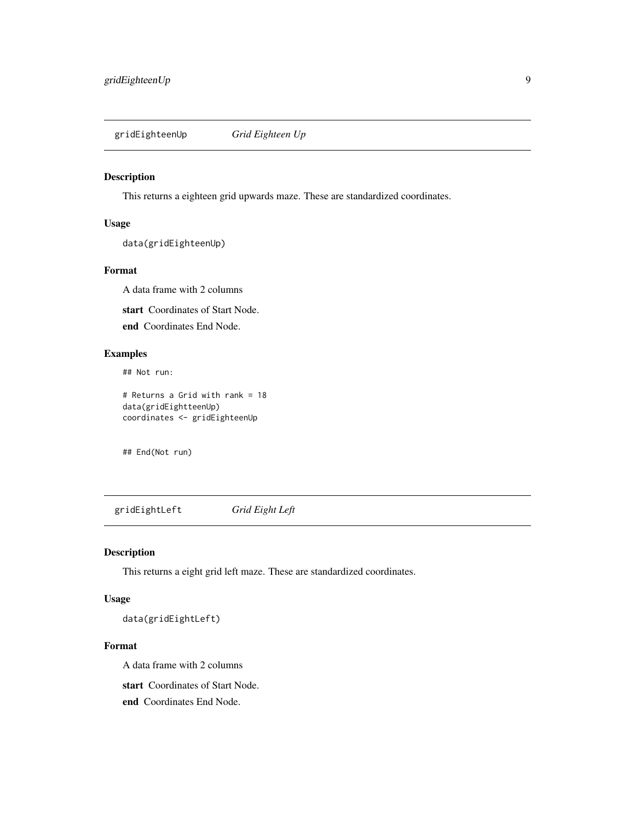<span id="page-8-0"></span>gridEighteenUp *Grid Eighteen Up*

# Description

This returns a eighteen grid upwards maze. These are standardized coordinates.

#### Usage

data(gridEighteenUp)

#### Format

A data frame with 2 columns

start Coordinates of Start Node.

end Coordinates End Node.

# Examples

## Not run:

# Returns a Grid with rank = 18 data(gridEightteenUp) coordinates <- gridEighteenUp

## End(Not run)

gridEightLeft *Grid Eight Left*

# Description

This returns a eight grid left maze. These are standardized coordinates.

# Usage

data(gridEightLeft)

#### Format

A data frame with 2 columns

start Coordinates of Start Node.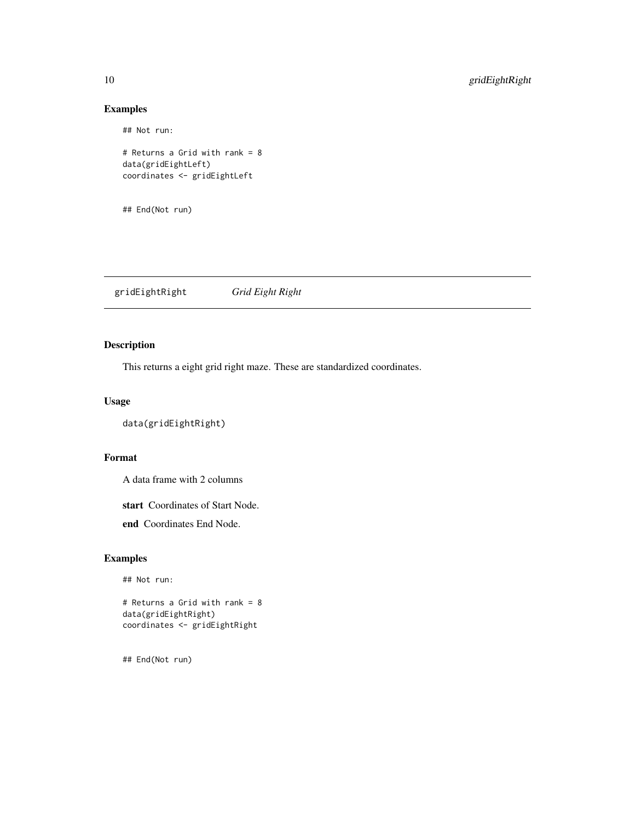## Not run:

# Returns a Grid with rank = 8 data(gridEightLeft) coordinates <- gridEightLeft

## End(Not run)

gridEightRight *Grid Eight Right*

# Description

This returns a eight grid right maze. These are standardized coordinates.

#### Usage

```
data(gridEightRight)
```
#### Format

A data frame with 2 columns

start Coordinates of Start Node.

end Coordinates End Node.

# Examples

## Not run:

# Returns a Grid with rank = 8 data(gridEightRight) coordinates <- gridEightRight

<span id="page-9-0"></span>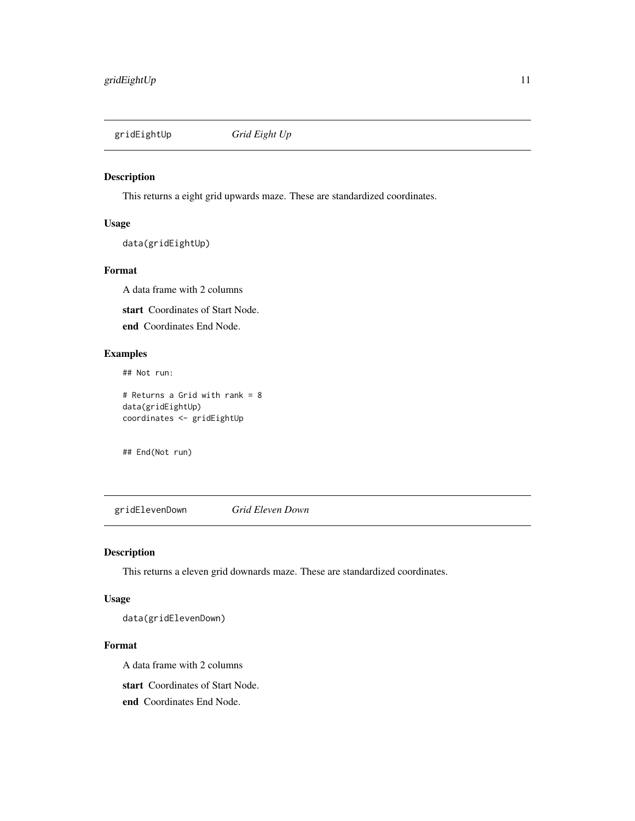<span id="page-10-0"></span>

# Description

This returns a eight grid upwards maze. These are standardized coordinates.

#### Usage

data(gridEightUp)

#### Format

A data frame with 2 columns

start Coordinates of Start Node.

end Coordinates End Node.

# Examples

## Not run:

# Returns a Grid with rank = 8 data(gridEightUp) coordinates <- gridEightUp

## End(Not run)

gridElevenDown *Grid Eleven Down*

# Description

This returns a eleven grid downards maze. These are standardized coordinates.

# Usage

data(gridElevenDown)

#### Format

A data frame with 2 columns

start Coordinates of Start Node.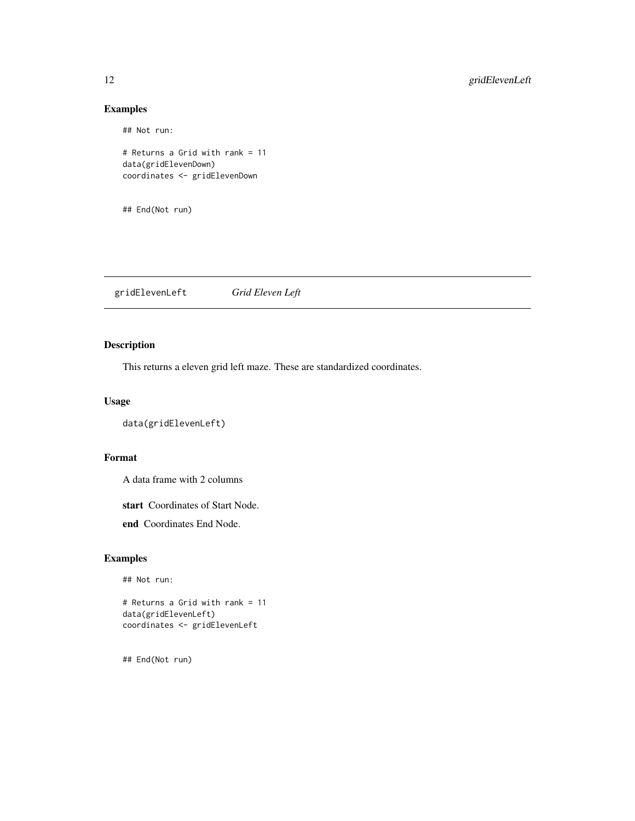## Not run:

# Returns a Grid with rank = 11 data(gridElevenDown) coordinates <- gridElevenDown

## End(Not run)

gridElevenLeft *Grid Eleven Left*

# Description

This returns a eleven grid left maze. These are standardized coordinates.

#### Usage

```
data(gridElevenLeft)
```
#### Format

A data frame with 2 columns

start Coordinates of Start Node.

end Coordinates End Node.

# Examples

## Not run:

# Returns a Grid with rank = 11 data(gridElevenLeft) coordinates <- gridElevenLeft

<span id="page-11-0"></span>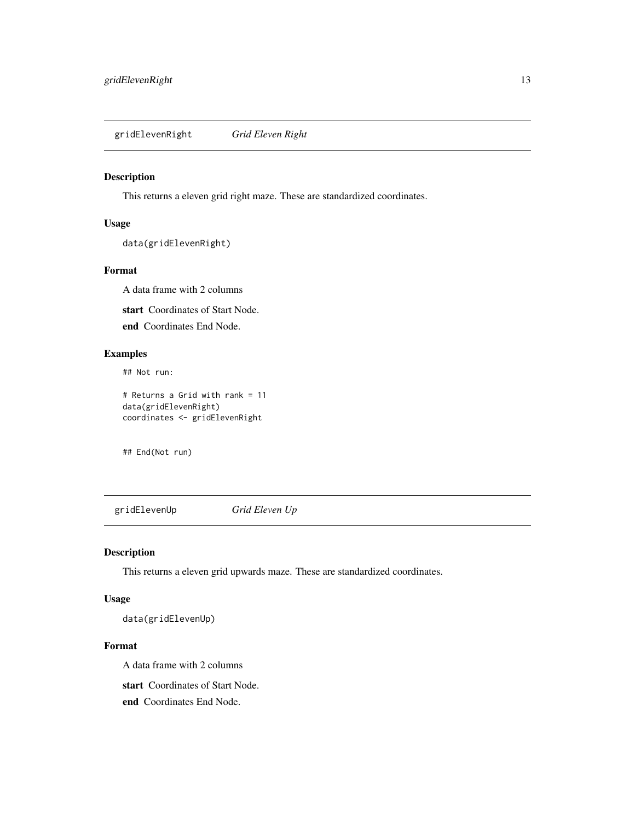<span id="page-12-0"></span>gridElevenRight *Grid Eleven Right*

#### Description

This returns a eleven grid right maze. These are standardized coordinates.

#### Usage

```
data(gridElevenRight)
```
#### Format

A data frame with 2 columns

start Coordinates of Start Node.

end Coordinates End Node.

# Examples

## Not run:

# Returns a Grid with rank = 11 data(gridElevenRight) coordinates <- gridElevenRight

## End(Not run)

gridElevenUp *Grid Eleven Up*

# Description

This returns a eleven grid upwards maze. These are standardized coordinates.

# Usage

data(gridElevenUp)

#### Format

A data frame with 2 columns

start Coordinates of Start Node.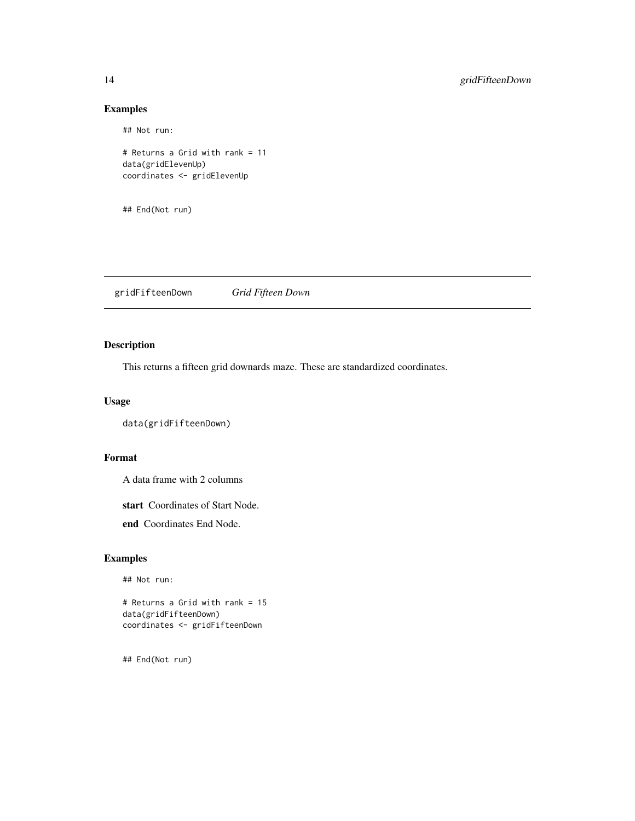## Not run:

```
# Returns a Grid with rank = 11
data(gridElevenUp)
coordinates <- gridElevenUp
```

```
## End(Not run)
```
gridFifteenDown *Grid Fifteen Down*

# Description

This returns a fifteen grid downards maze. These are standardized coordinates.

#### Usage

```
data(gridFifteenDown)
```
#### Format

A data frame with 2 columns

start Coordinates of Start Node.

end Coordinates End Node.

# Examples

## Not run:

# Returns a Grid with rank = 15 data(gridFifteenDown) coordinates <- gridFifteenDown

<span id="page-13-0"></span>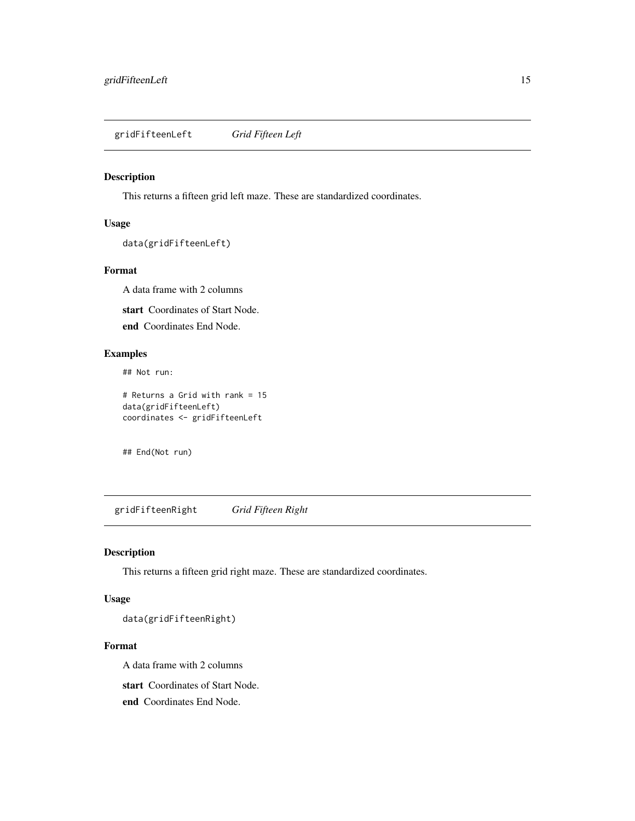<span id="page-14-0"></span>gridFifteenLeft *Grid Fifteen Left*

# Description

This returns a fifteen grid left maze. These are standardized coordinates.

#### Usage

```
data(gridFifteenLeft)
```
#### Format

A data frame with 2 columns

start Coordinates of Start Node.

end Coordinates End Node.

# Examples

## Not run:

# Returns a Grid with rank = 15 data(gridFifteenLeft) coordinates <- gridFifteenLeft

## End(Not run)

gridFifteenRight *Grid Fifteen Right*

# Description

This returns a fifteen grid right maze. These are standardized coordinates.

# Usage

data(gridFifteenRight)

#### Format

A data frame with 2 columns

start Coordinates of Start Node.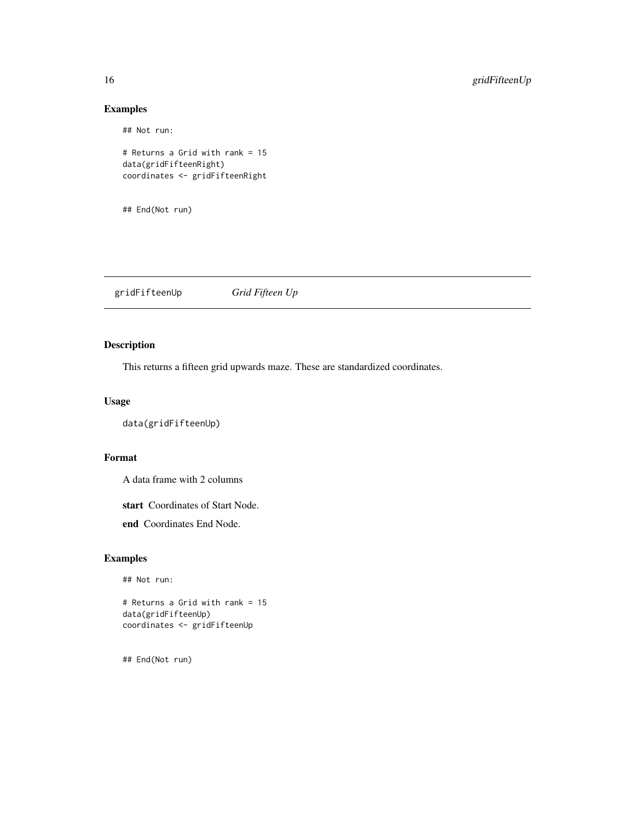## Not run:

# Returns a Grid with rank = 15 data(gridFifteenRight) coordinates <- gridFifteenRight

## End(Not run)

gridFifteenUp *Grid Fifteen Up*

# Description

This returns a fifteen grid upwards maze. These are standardized coordinates.

#### Usage

```
data(gridFifteenUp)
```
#### Format

A data frame with 2 columns

start Coordinates of Start Node.

end Coordinates End Node.

# Examples

## Not run:

# Returns a Grid with rank = 15 data(gridFifteenUp) coordinates <- gridFifteenUp

<span id="page-15-0"></span>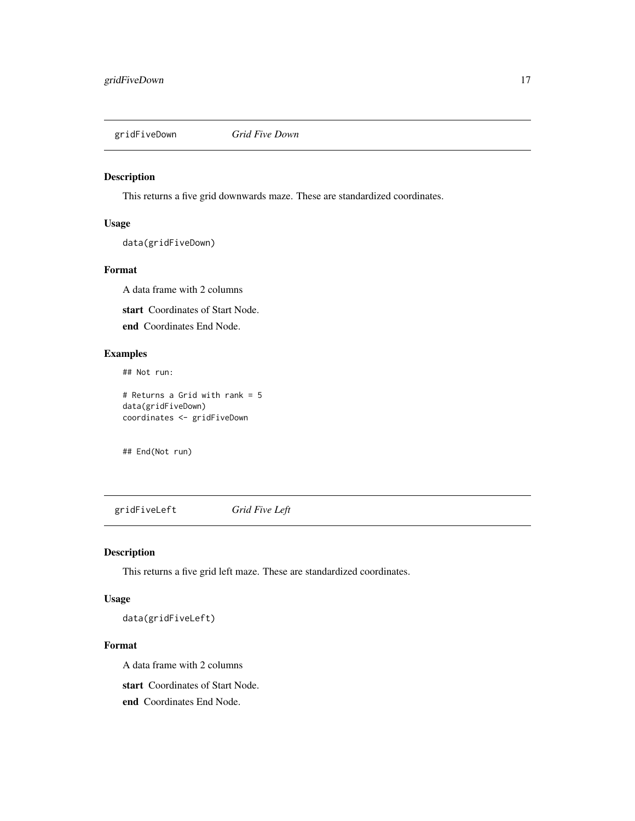<span id="page-16-0"></span>

# Description

This returns a five grid downwards maze. These are standardized coordinates.

#### Usage

data(gridFiveDown)

#### Format

A data frame with 2 columns

start Coordinates of Start Node.

end Coordinates End Node.

# Examples

## Not run:

# Returns a Grid with rank = 5 data(gridFiveDown) coordinates <- gridFiveDown

## End(Not run)

gridFiveLeft *Grid Five Left*

# Description

This returns a five grid left maze. These are standardized coordinates.

# Usage

data(gridFiveLeft)

#### Format

A data frame with 2 columns

start Coordinates of Start Node.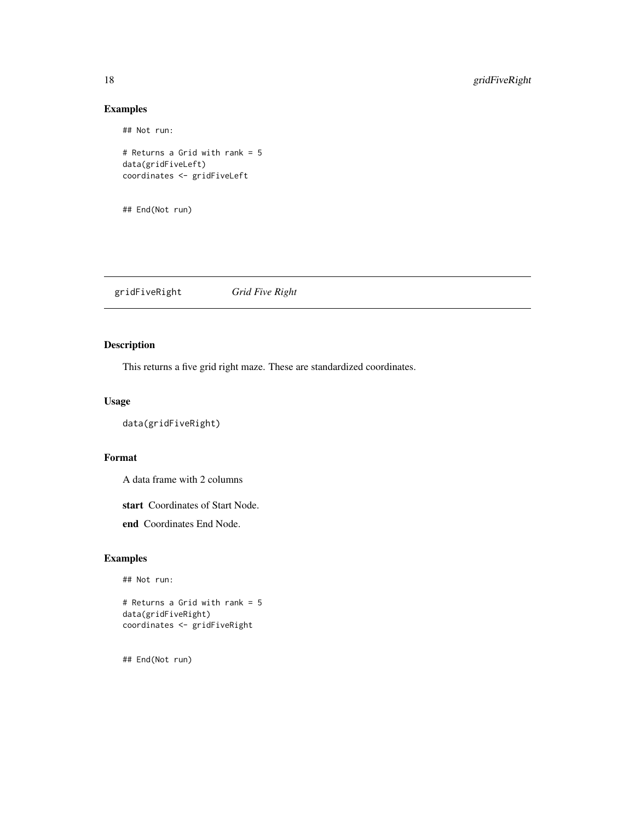## Not run:

# Returns a Grid with rank = 5 data(gridFiveLeft) coordinates <- gridFiveLeft

## End(Not run)

gridFiveRight *Grid Five Right*

# Description

This returns a five grid right maze. These are standardized coordinates.

#### Usage

```
data(gridFiveRight)
```
#### Format

A data frame with 2 columns

start Coordinates of Start Node.

end Coordinates End Node.

# Examples

## Not run:

# Returns a Grid with rank = 5 data(gridFiveRight) coordinates <- gridFiveRight

<span id="page-17-0"></span>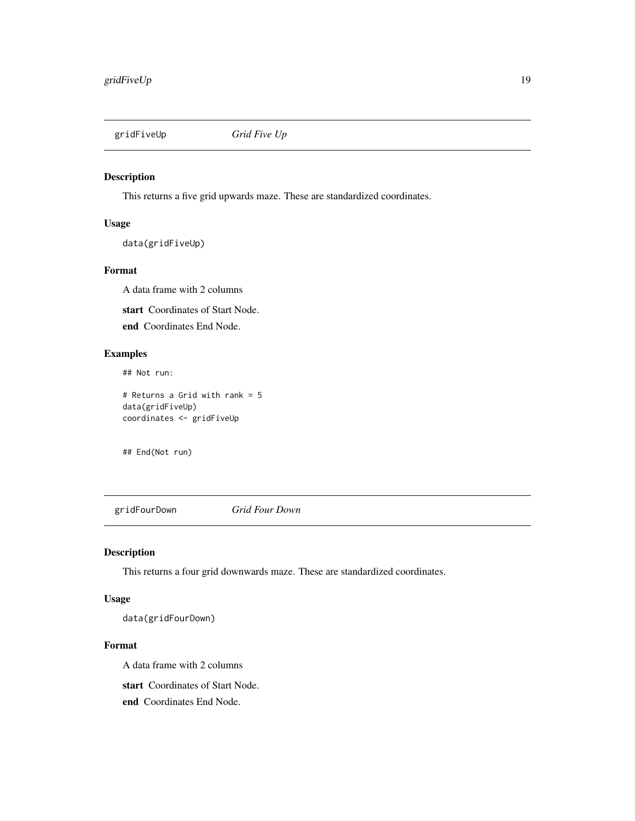<span id="page-18-0"></span>

# Description

This returns a five grid upwards maze. These are standardized coordinates.

#### Usage

data(gridFiveUp)

#### Format

A data frame with 2 columns

start Coordinates of Start Node.

end Coordinates End Node.

# Examples

## Not run:

# Returns a Grid with rank = 5 data(gridFiveUp) coordinates <- gridFiveUp

## End(Not run)

gridFourDown *Grid Four Down*

# Description

This returns a four grid downwards maze. These are standardized coordinates.

# Usage

data(gridFourDown)

#### Format

A data frame with 2 columns

start Coordinates of Start Node.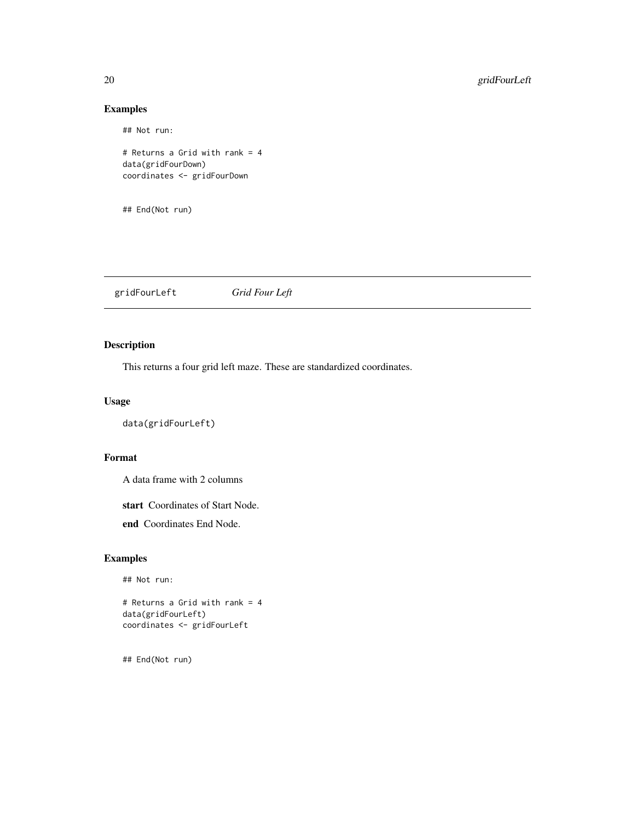## Not run:

# Returns a Grid with rank = 4 data(gridFourDown) coordinates <- gridFourDown

## End(Not run)

gridFourLeft *Grid Four Left*

# Description

This returns a four grid left maze. These are standardized coordinates.

#### Usage

```
data(gridFourLeft)
```
#### Format

A data frame with 2 columns

start Coordinates of Start Node.

end Coordinates End Node.

# Examples

## Not run:

# Returns a Grid with rank = 4 data(gridFourLeft) coordinates <- gridFourLeft

<span id="page-19-0"></span>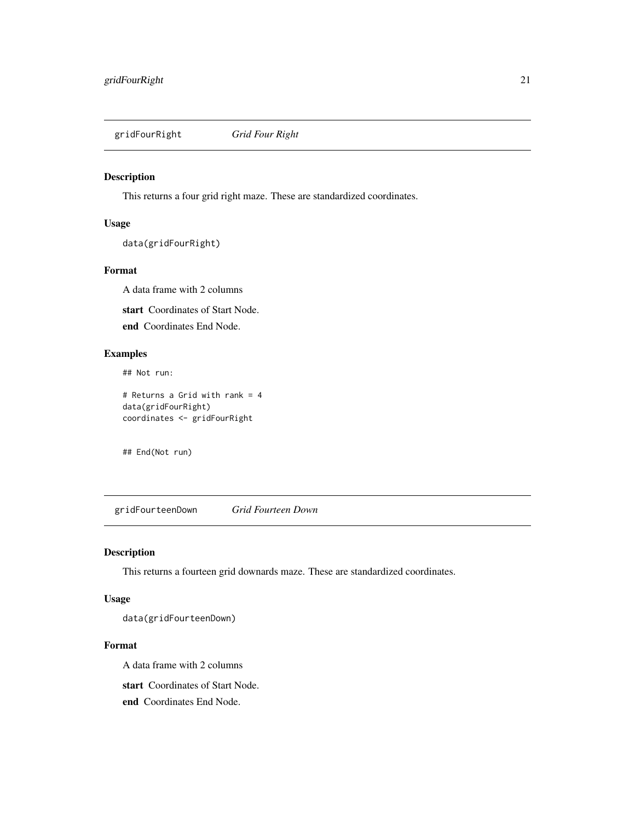<span id="page-20-0"></span>gridFourRight *Grid Four Right*

#### Description

This returns a four grid right maze. These are standardized coordinates.

#### Usage

data(gridFourRight)

#### Format

A data frame with 2 columns

start Coordinates of Start Node.

end Coordinates End Node.

# Examples

## Not run:

# Returns a Grid with rank = 4 data(gridFourRight) coordinates <- gridFourRight

## End(Not run)

gridFourteenDown *Grid Fourteen Down*

# Description

This returns a fourteen grid downards maze. These are standardized coordinates.

# Usage

data(gridFourteenDown)

#### Format

A data frame with 2 columns

start Coordinates of Start Node.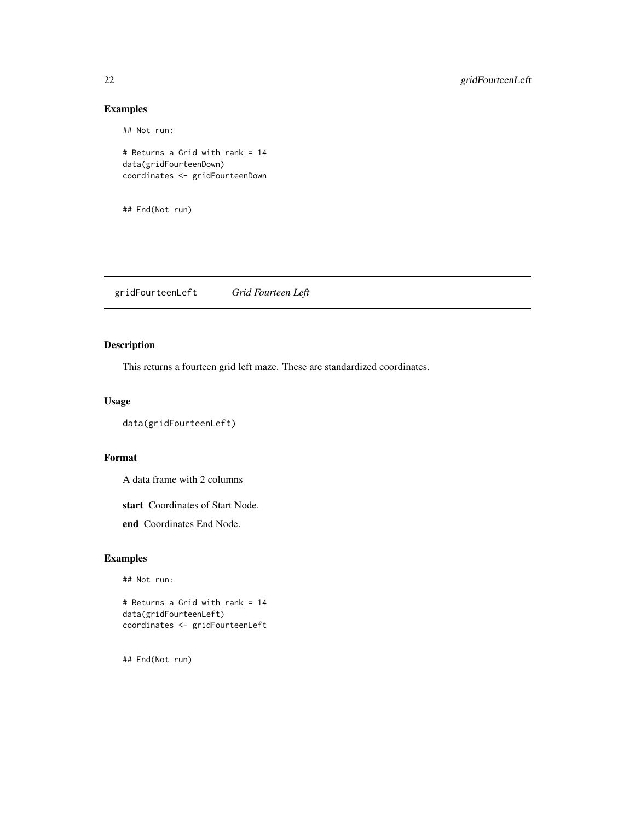## Not run:

# Returns a Grid with rank = 14 data(gridFourteenDown) coordinates <- gridFourteenDown

## End(Not run)

gridFourteenLeft *Grid Fourteen Left*

# Description

This returns a fourteen grid left maze. These are standardized coordinates.

#### Usage

```
data(gridFourteenLeft)
```
#### Format

A data frame with 2 columns

start Coordinates of Start Node.

end Coordinates End Node.

# Examples

## Not run:

# Returns a Grid with rank = 14 data(gridFourteenLeft) coordinates <- gridFourteenLeft

<span id="page-21-0"></span>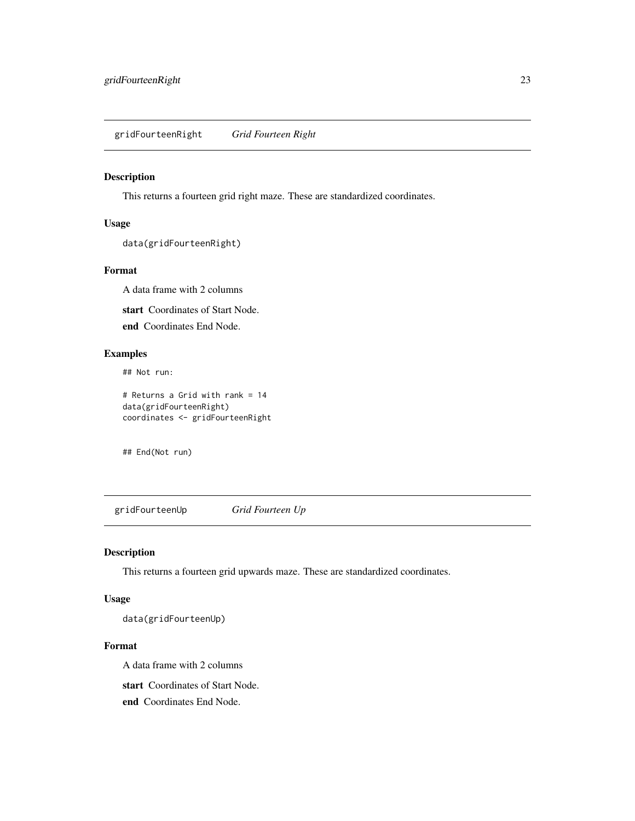<span id="page-22-0"></span>gridFourteenRight *Grid Fourteen Right*

#### Description

This returns a fourteen grid right maze. These are standardized coordinates.

#### Usage

```
data(gridFourteenRight)
```
#### Format

A data frame with 2 columns

start Coordinates of Start Node.

end Coordinates End Node.

# Examples

## Not run:

# Returns a Grid with rank = 14 data(gridFourteenRight) coordinates <- gridFourteenRight

## End(Not run)

gridFourteenUp *Grid Fourteen Up*

# Description

This returns a fourteen grid upwards maze. These are standardized coordinates.

# Usage

data(gridFourteenUp)

#### Format

A data frame with 2 columns

start Coordinates of Start Node.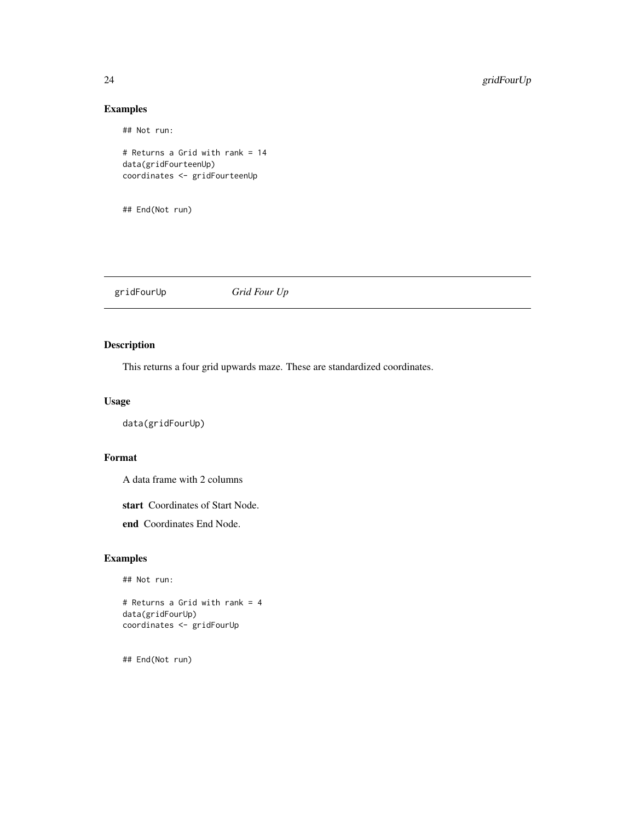## Not run:

# Returns a Grid with rank = 14 data(gridFourteenUp) coordinates <- gridFourteenUp

## End(Not run)

gridFourUp *Grid Four Up*

# Description

This returns a four grid upwards maze. These are standardized coordinates.

#### Usage

data(gridFourUp)

# Format

A data frame with 2 columns

start Coordinates of Start Node.

end Coordinates End Node.

# Examples

## Not run:

# Returns a Grid with rank = 4 data(gridFourUp) coordinates <- gridFourUp

<span id="page-23-0"></span>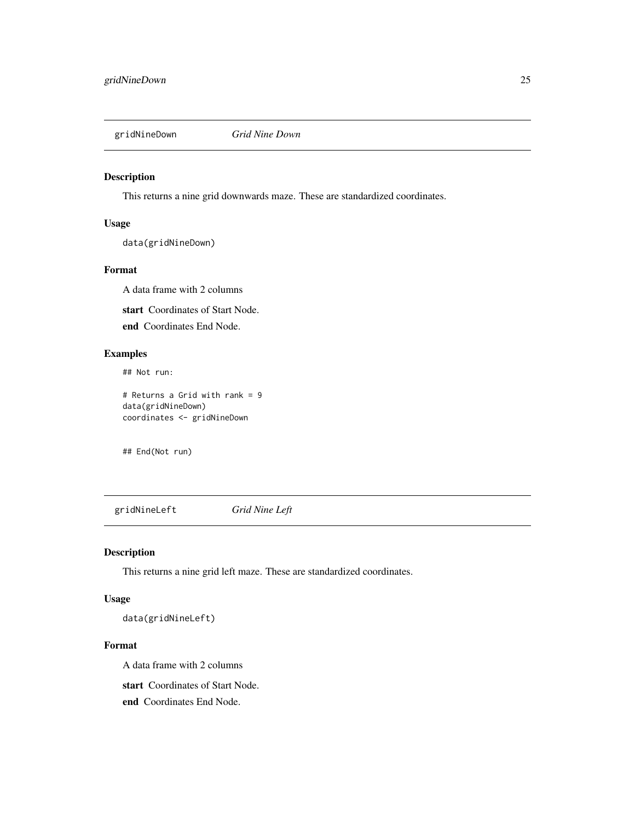<span id="page-24-0"></span>

#### Description

This returns a nine grid downwards maze. These are standardized coordinates.

#### Usage

data(gridNineDown)

#### Format

A data frame with 2 columns

start Coordinates of Start Node.

end Coordinates End Node.

# Examples

## Not run:

# Returns a Grid with rank = 9 data(gridNineDown) coordinates <- gridNineDown

## End(Not run)

gridNineLeft *Grid Nine Left*

# Description

This returns a nine grid left maze. These are standardized coordinates.

#### Usage

data(gridNineLeft)

#### Format

A data frame with 2 columns

start Coordinates of Start Node.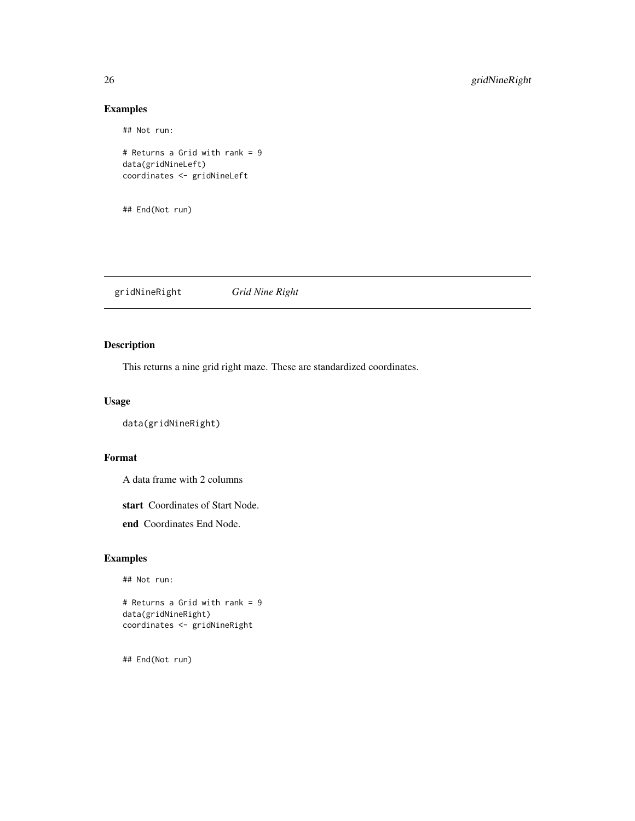## Not run:

# Returns a Grid with rank = 9 data(gridNineLeft) coordinates <- gridNineLeft

## End(Not run)

gridNineRight *Grid Nine Right*

# Description

This returns a nine grid right maze. These are standardized coordinates.

#### Usage

```
data(gridNineRight)
```
#### Format

A data frame with 2 columns

start Coordinates of Start Node.

end Coordinates End Node.

# Examples

## Not run:

# Returns a Grid with rank = 9 data(gridNineRight) coordinates <- gridNineRight

<span id="page-25-0"></span>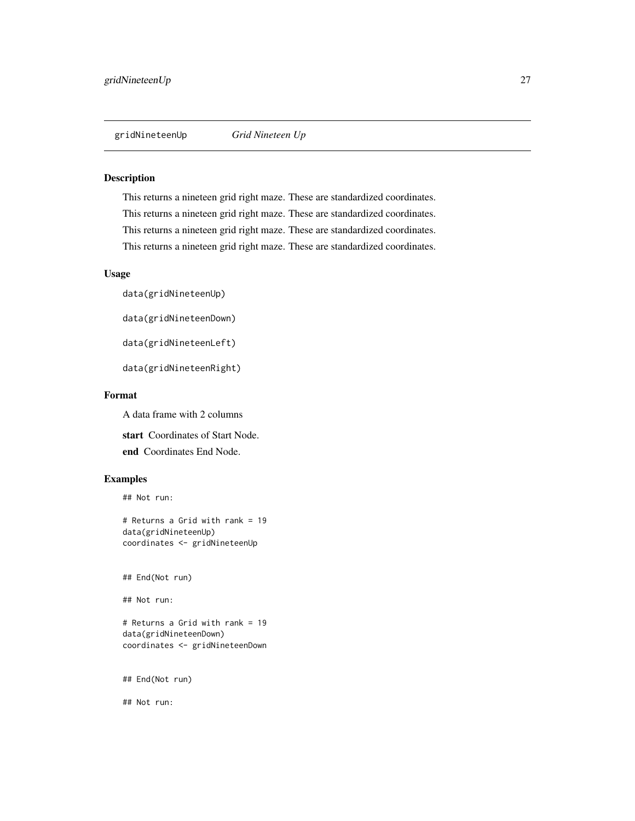<span id="page-26-0"></span>

#### Description

This returns a nineteen grid right maze. These are standardized coordinates. This returns a nineteen grid right maze. These are standardized coordinates. This returns a nineteen grid right maze. These are standardized coordinates. This returns a nineteen grid right maze. These are standardized coordinates.

#### Usage

data(gridNineteenUp)

data(gridNineteenDown)

data(gridNineteenLeft)

data(gridNineteenRight)

#### Format

A data frame with 2 columns

start Coordinates of Start Node. end Coordinates End Node.

# Examples

## Not run:

# Returns a Grid with rank = 19 data(gridNineteenUp) coordinates <- gridNineteenUp

## End(Not run)

## Not run:

# Returns a Grid with rank = 19 data(gridNineteenDown) coordinates <- gridNineteenDown

## End(Not run)

## Not run: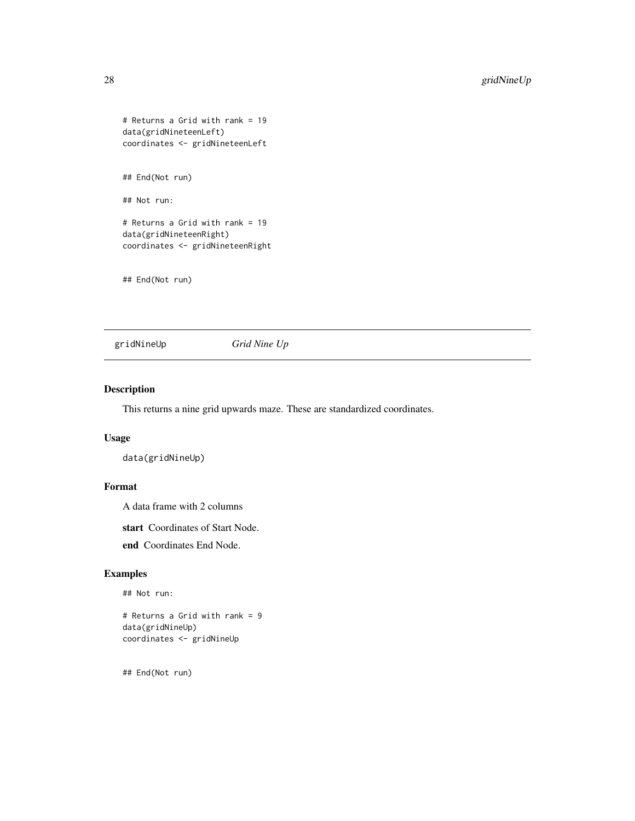```
# Returns a Grid with rank = 19
data(gridNineteenLeft)
coordinates <- gridNineteenLeft
## End(Not run)
```
# Returns a Grid with rank = 19 data(gridNineteenRight)

coordinates <- gridNineteenRight

## End(Not run)

## Not run:

gridNineUp *Grid Nine Up*

#### Description

This returns a nine grid upwards maze. These are standardized coordinates.

#### Usage

data(gridNineUp)

# Format

A data frame with 2 columns

start Coordinates of Start Node.

end Coordinates End Node.

#### Examples

```
## Not run:
```
# Returns a Grid with rank = 9 data(gridNineUp) coordinates <- gridNineUp

<span id="page-27-0"></span>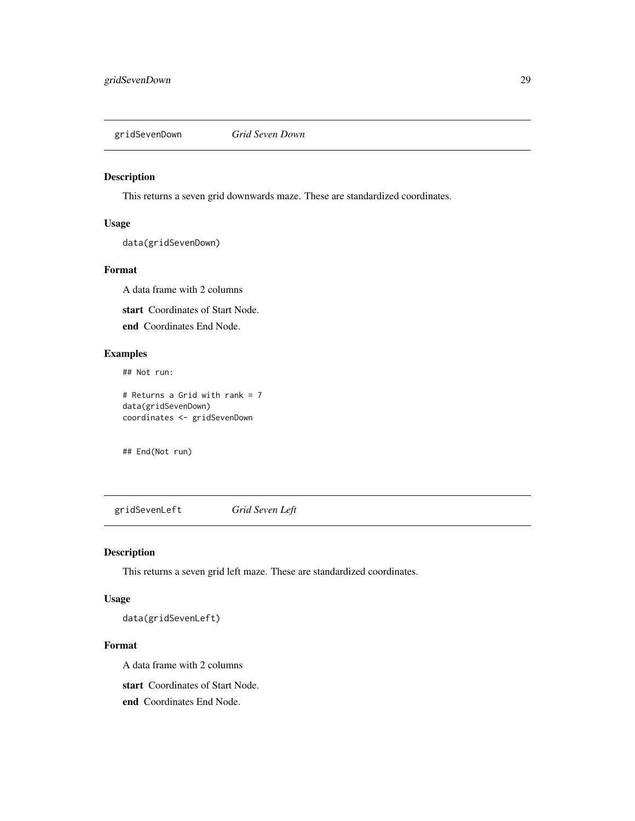<span id="page-28-0"></span>gridSevenDown *Grid Seven Down*

#### Description

This returns a seven grid downwards maze. These are standardized coordinates.

#### Usage

data(gridSevenDown)

#### Format

A data frame with 2 columns

start Coordinates of Start Node.

end Coordinates End Node.

# Examples

## Not run:

# Returns a Grid with rank = 7 data(gridSevenDown) coordinates <- gridSevenDown

## End(Not run)

gridSevenLeft *Grid Seven Left*

# Description

This returns a seven grid left maze. These are standardized coordinates.

#### Usage

data(gridSevenLeft)

#### Format

A data frame with 2 columns

start Coordinates of Start Node.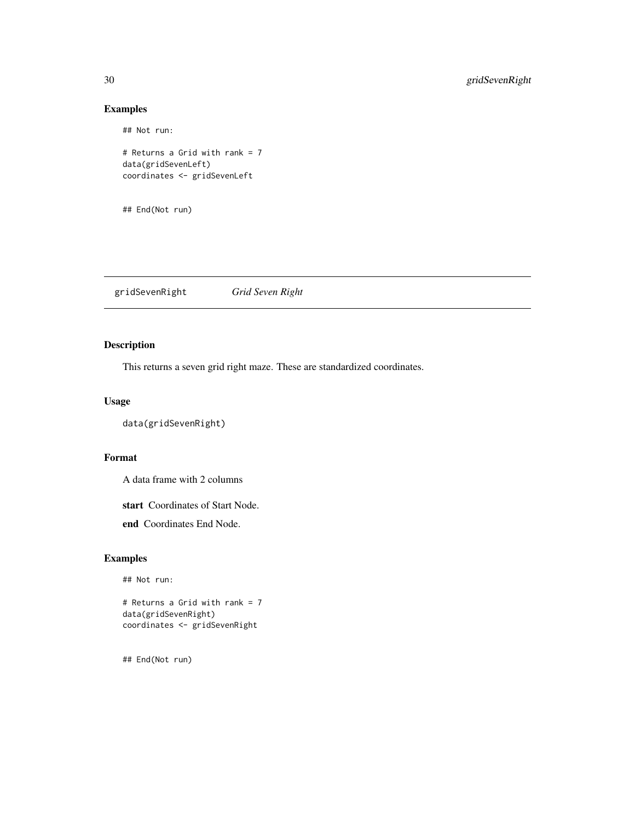## Not run:

```
# Returns a Grid with rank = 7
data(gridSevenLeft)
coordinates <- gridSevenLeft
```
## End(Not run)

gridSevenRight *Grid Seven Right*

# Description

This returns a seven grid right maze. These are standardized coordinates.

#### Usage

```
data(gridSevenRight)
```
#### Format

A data frame with 2 columns

start Coordinates of Start Node.

end Coordinates End Node.

# Examples

## Not run:

# Returns a Grid with rank = 7 data(gridSevenRight) coordinates <- gridSevenRight

<span id="page-29-0"></span>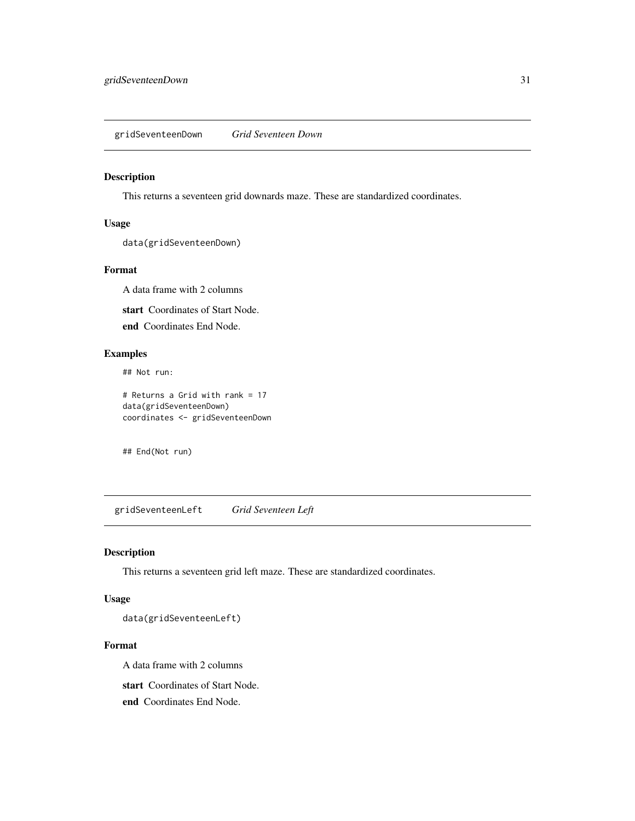<span id="page-30-0"></span>gridSeventeenDown *Grid Seventeen Down*

#### Description

This returns a seventeen grid downards maze. These are standardized coordinates.

#### Usage

data(gridSeventeenDown)

#### Format

A data frame with 2 columns

start Coordinates of Start Node.

end Coordinates End Node.

# Examples

## Not run:

# Returns a Grid with rank = 17 data(gridSeventeenDown) coordinates <- gridSeventeenDown

## End(Not run)

gridSeventeenLeft *Grid Seventeen Left*

# Description

This returns a seventeen grid left maze. These are standardized coordinates.

# Usage

data(gridSeventeenLeft)

#### Format

A data frame with 2 columns

start Coordinates of Start Node.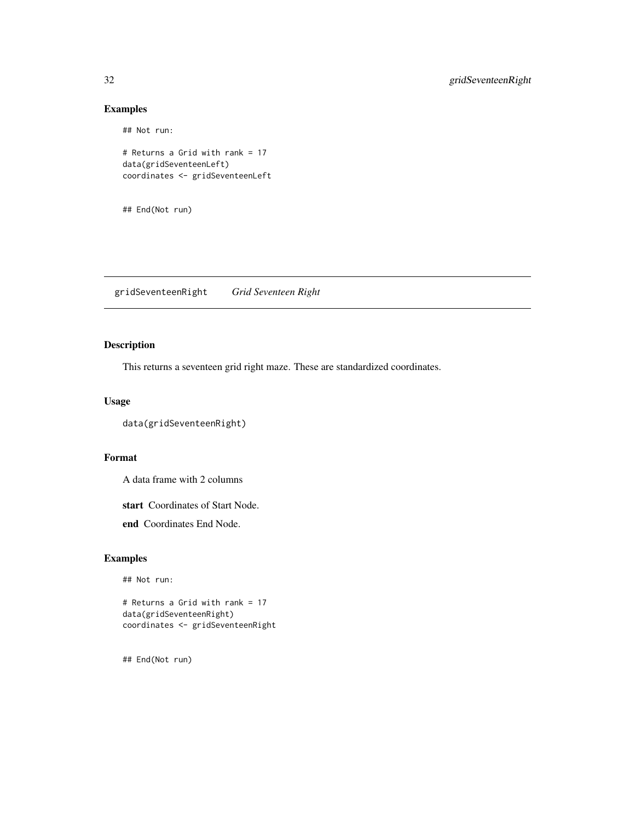## Not run:

```
# Returns a Grid with rank = 17
data(gridSeventeenLeft)
coordinates <- gridSeventeenLeft
```
## End(Not run)

gridSeventeenRight *Grid Seventeen Right*

# Description

This returns a seventeen grid right maze. These are standardized coordinates.

#### Usage

```
data(gridSeventeenRight)
```
#### Format

A data frame with 2 columns

start Coordinates of Start Node.

end Coordinates End Node.

# Examples

## Not run:

# Returns a Grid with rank = 17 data(gridSeventeenRight) coordinates <- gridSeventeenRight

<span id="page-31-0"></span>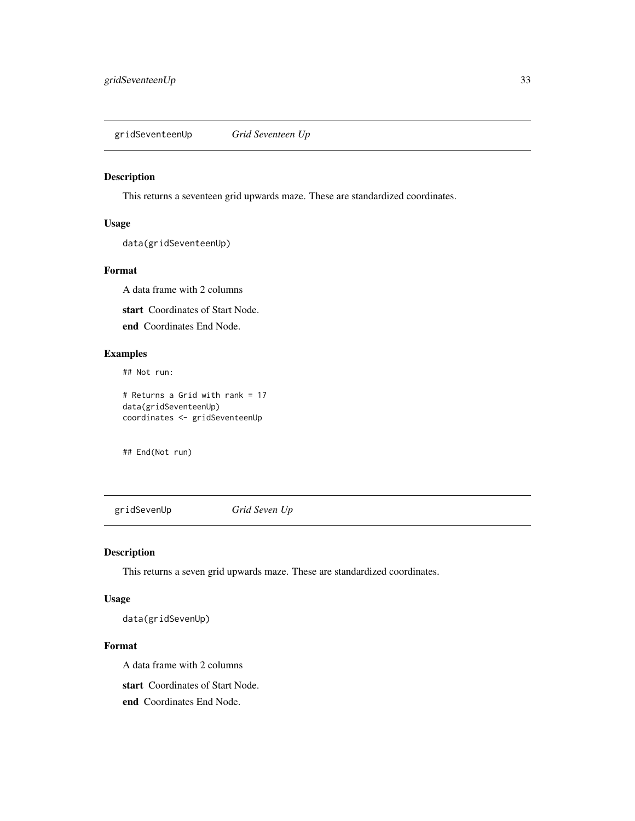<span id="page-32-0"></span>gridSeventeenUp *Grid Seventeen Up*

# Description

This returns a seventeen grid upwards maze. These are standardized coordinates.

#### Usage

data(gridSeventeenUp)

#### Format

A data frame with 2 columns

start Coordinates of Start Node.

end Coordinates End Node.

# Examples

## Not run:

# Returns a Grid with rank = 17 data(gridSeventeenUp) coordinates <- gridSeventeenUp

## End(Not run)

gridSevenUp *Grid Seven Up*

# Description

This returns a seven grid upwards maze. These are standardized coordinates.

# Usage

data(gridSevenUp)

#### Format

A data frame with 2 columns

start Coordinates of Start Node.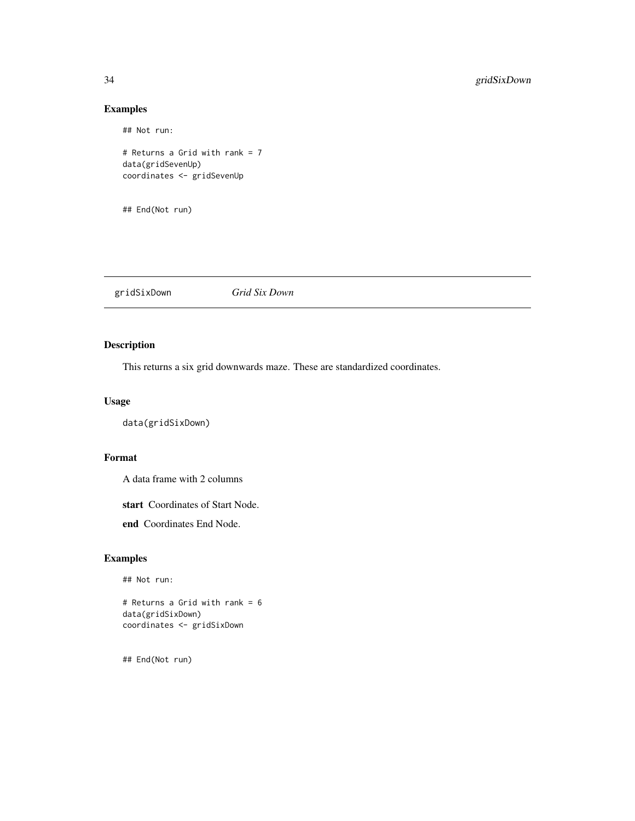## Not run:

# Returns a Grid with rank = 7 data(gridSevenUp) coordinates <- gridSevenUp

## End(Not run)

gridSixDown *Grid Six Down*

# Description

This returns a six grid downwards maze. These are standardized coordinates.

#### Usage

```
data(gridSixDown)
```
# Format

A data frame with 2 columns

start Coordinates of Start Node.

end Coordinates End Node.

# Examples

## Not run:

# Returns a Grid with rank = 6 data(gridSixDown) coordinates <- gridSixDown

<span id="page-33-0"></span>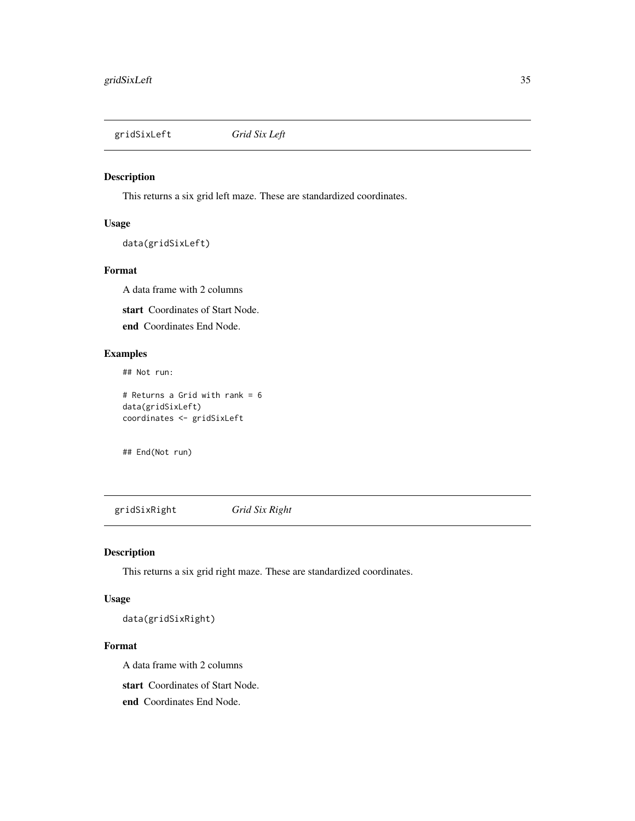<span id="page-34-0"></span>gridSixLeft *Grid Six Left*

# Description

This returns a six grid left maze. These are standardized coordinates.

#### Usage

```
data(gridSixLeft)
```
#### Format

A data frame with 2 columns

start Coordinates of Start Node.

end Coordinates End Node.

# Examples

## Not run:

# Returns a Grid with rank = 6 data(gridSixLeft) coordinates <- gridSixLeft

## End(Not run)

gridSixRight *Grid Six Right*

# Description

This returns a six grid right maze. These are standardized coordinates.

# Usage

data(gridSixRight)

#### Format

A data frame with 2 columns

start Coordinates of Start Node.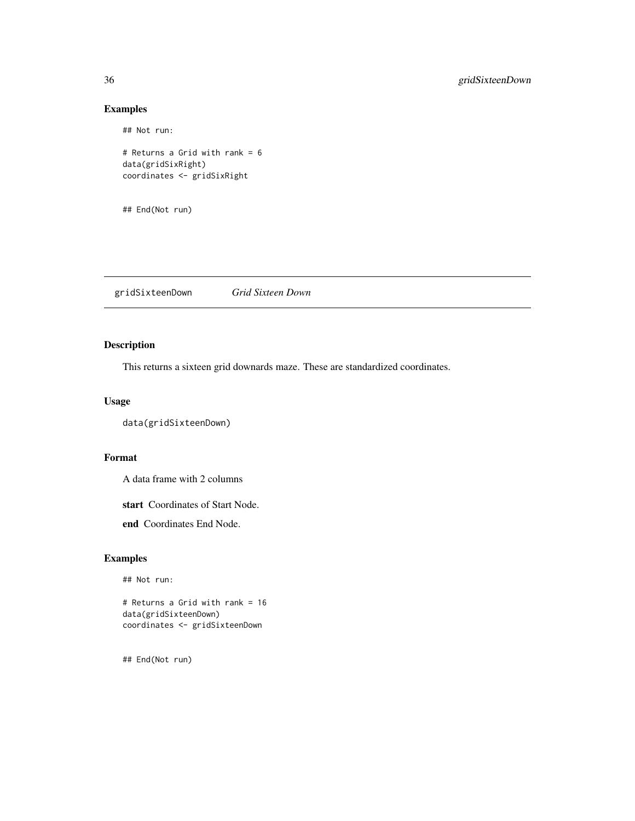## Not run:

```
# Returns a Grid with rank = 6
data(gridSixRight)
coordinates <- gridSixRight
```
## End(Not run)

gridSixteenDown *Grid Sixteen Down*

# Description

This returns a sixteen grid downards maze. These are standardized coordinates.

#### Usage

```
data(gridSixteenDown)
```
#### Format

A data frame with 2 columns

start Coordinates of Start Node.

end Coordinates End Node.

# Examples

## Not run:

# Returns a Grid with rank = 16 data(gridSixteenDown) coordinates <- gridSixteenDown

<span id="page-35-0"></span>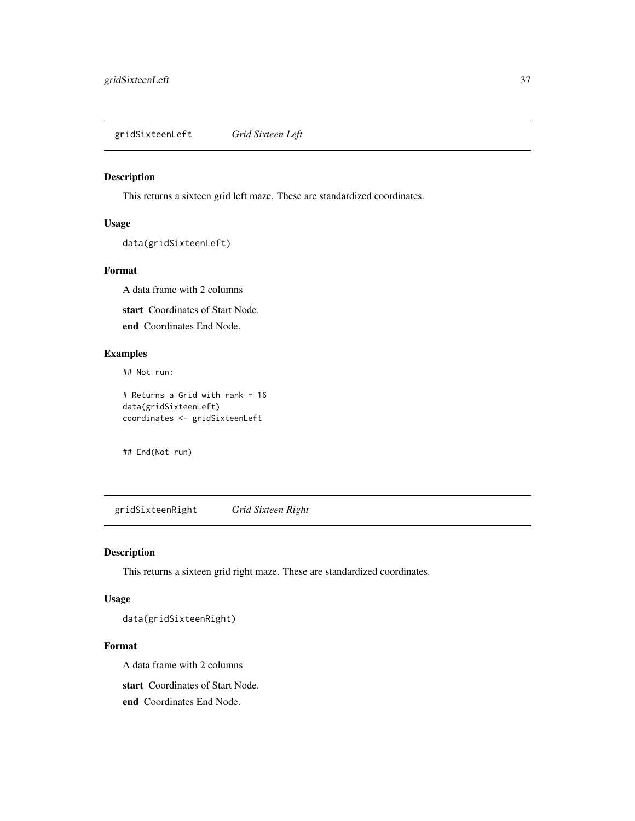<span id="page-36-0"></span>gridSixteenLeft *Grid Sixteen Left*

#### Description

This returns a sixteen grid left maze. These are standardized coordinates.

#### Usage

```
data(gridSixteenLeft)
```
#### Format

A data frame with 2 columns

start Coordinates of Start Node.

end Coordinates End Node.

# Examples

## Not run:

# Returns a Grid with rank = 16 data(gridSixteenLeft) coordinates <- gridSixteenLeft

## End(Not run)

gridSixteenRight *Grid Sixteen Right*

# Description

This returns a sixteen grid right maze. These are standardized coordinates.

# Usage

data(gridSixteenRight)

#### Format

A data frame with 2 columns

start Coordinates of Start Node.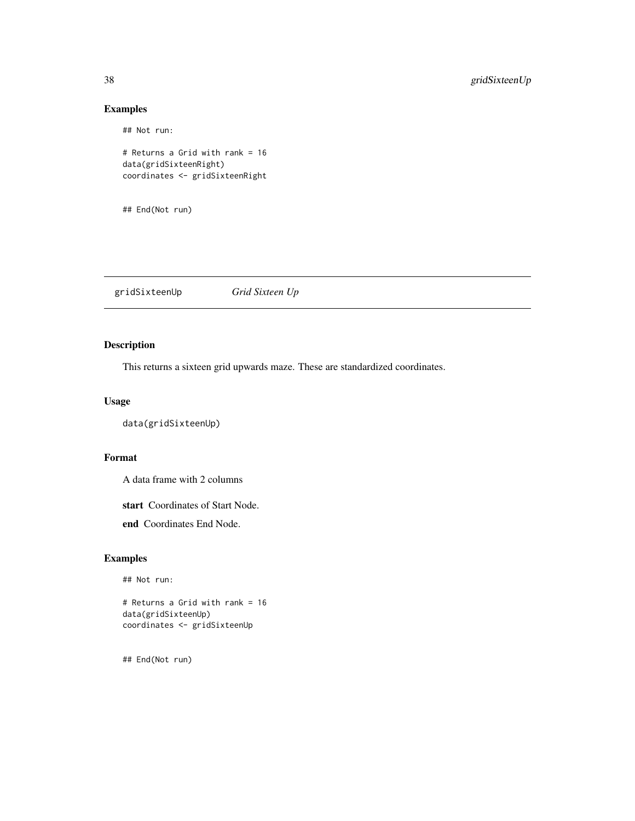## Not run:

# Returns a Grid with rank = 16 data(gridSixteenRight) coordinates <- gridSixteenRight

## End(Not run)

gridSixteenUp *Grid Sixteen Up*

# Description

This returns a sixteen grid upwards maze. These are standardized coordinates.

#### Usage

```
data(gridSixteenUp)
```
#### Format

A data frame with 2 columns

start Coordinates of Start Node.

end Coordinates End Node.

# Examples

## Not run:

# Returns a Grid with rank = 16 data(gridSixteenUp) coordinates <- gridSixteenUp

<span id="page-37-0"></span>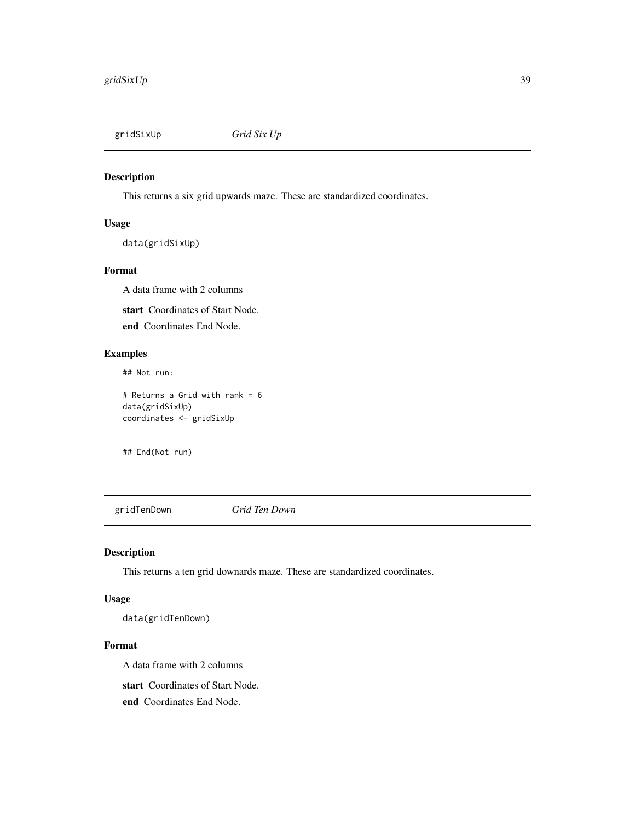<span id="page-38-0"></span>gridSixUp *Grid Six Up*

#### Description

This returns a six grid upwards maze. These are standardized coordinates.

#### Usage

data(gridSixUp)

#### Format

A data frame with 2 columns

start Coordinates of Start Node.

end Coordinates End Node.

# Examples

## Not run:

# Returns a Grid with rank = 6 data(gridSixUp) coordinates <- gridSixUp

## End(Not run)

gridTenDown *Grid Ten Down*

# Description

This returns a ten grid downards maze. These are standardized coordinates.

# Usage

data(gridTenDown)

#### Format

A data frame with 2 columns

start Coordinates of Start Node.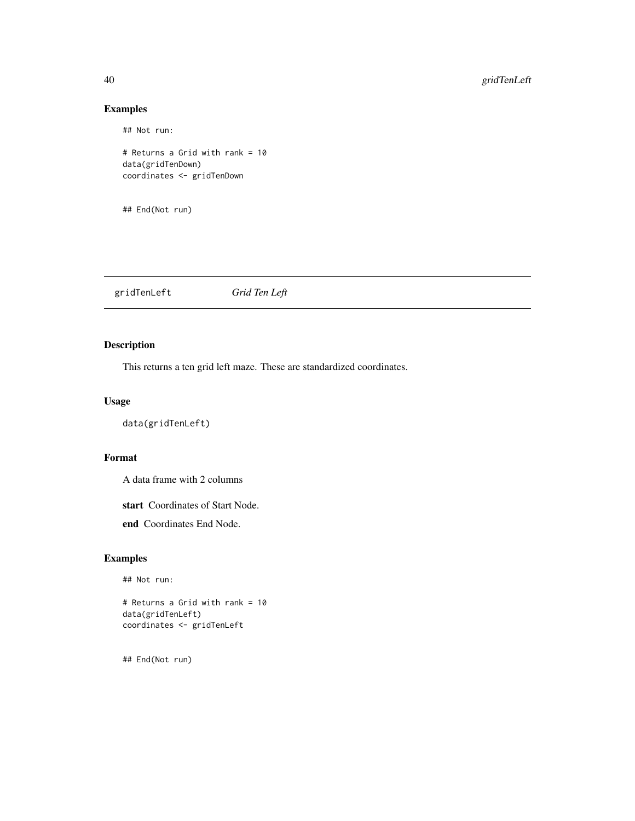## Not run:

# Returns a Grid with rank = 10 data(gridTenDown) coordinates <- gridTenDown

## End(Not run)

gridTenLeft *Grid Ten Left*

# Description

This returns a ten grid left maze. These are standardized coordinates.

#### Usage

data(gridTenLeft)

# Format

A data frame with 2 columns

start Coordinates of Start Node.

end Coordinates End Node.

# Examples

## Not run:

# Returns a Grid with rank = 10 data(gridTenLeft) coordinates <- gridTenLeft

<span id="page-39-0"></span>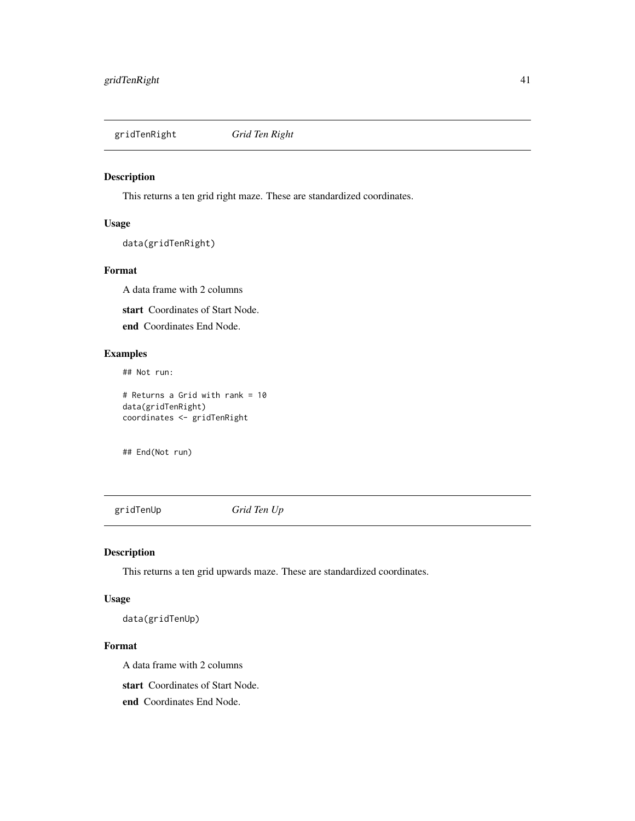<span id="page-40-0"></span>gridTenRight *Grid Ten Right*

# Description

This returns a ten grid right maze. These are standardized coordinates.

# Usage

data(gridTenRight)

#### Format

A data frame with 2 columns

start Coordinates of Start Node.

end Coordinates End Node.

# Examples

## Not run:

# Returns a Grid with rank = 10 data(gridTenRight) coordinates <- gridTenRight

## End(Not run)

gridTenUp *Grid Ten Up*

# Description

This returns a ten grid upwards maze. These are standardized coordinates.

# Usage

data(gridTenUp)

#### Format

A data frame with 2 columns

start Coordinates of Start Node.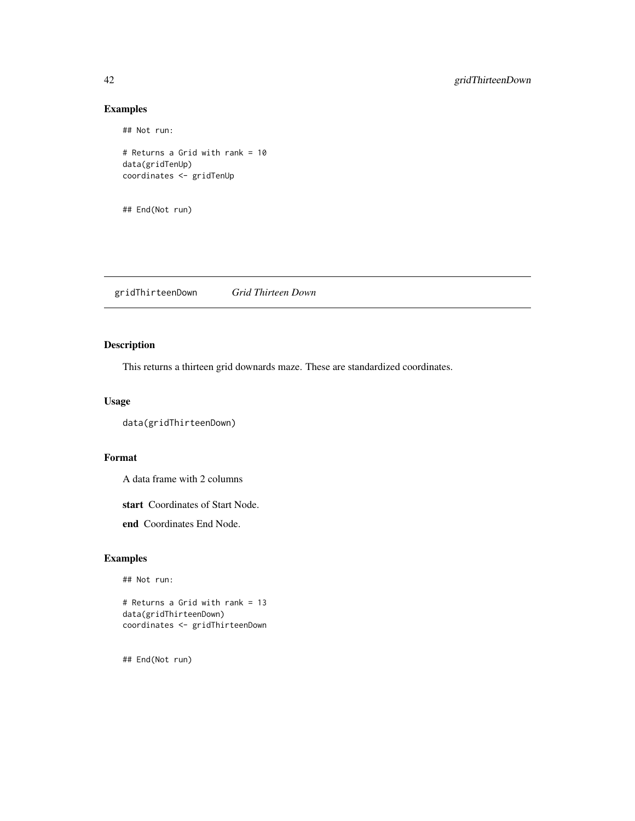## Not run:

```
# Returns a Grid with rank = 10
data(gridTenUp)
coordinates <- gridTenUp
```
## End(Not run)

gridThirteenDown *Grid Thirteen Down*

# Description

This returns a thirteen grid downards maze. These are standardized coordinates.

#### Usage

```
data(gridThirteenDown)
```
#### Format

A data frame with 2 columns

start Coordinates of Start Node.

end Coordinates End Node.

# Examples

## Not run:

# Returns a Grid with rank = 13 data(gridThirteenDown) coordinates <- gridThirteenDown

<span id="page-41-0"></span>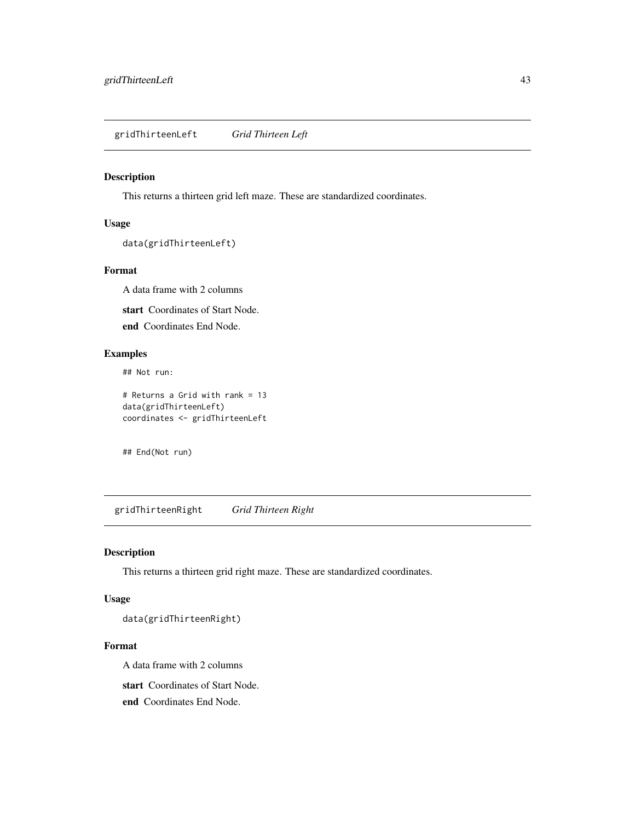<span id="page-42-0"></span>gridThirteenLeft *Grid Thirteen Left*

# Description

This returns a thirteen grid left maze. These are standardized coordinates.

#### Usage

```
data(gridThirteenLeft)
```
#### Format

A data frame with 2 columns

start Coordinates of Start Node.

end Coordinates End Node.

# Examples

## Not run:

# Returns a Grid with rank = 13 data(gridThirteenLeft) coordinates <- gridThirteenLeft

## End(Not run)

gridThirteenRight *Grid Thirteen Right*

# Description

This returns a thirteen grid right maze. These are standardized coordinates.

# Usage

data(gridThirteenRight)

#### Format

A data frame with 2 columns

start Coordinates of Start Node.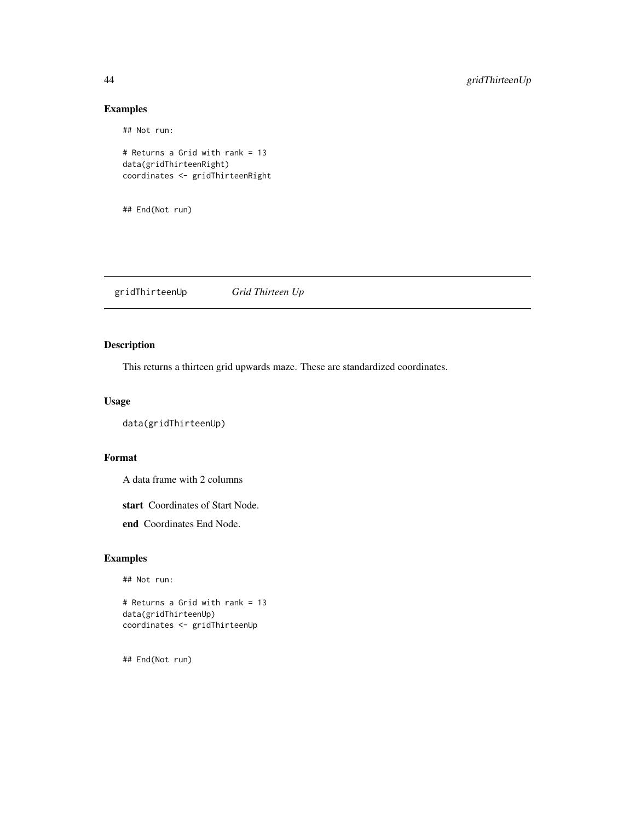## Not run:

```
# Returns a Grid with rank = 13
data(gridThirteenRight)
coordinates <- gridThirteenRight
```
## End(Not run)

gridThirteenUp *Grid Thirteen Up*

# Description

This returns a thirteen grid upwards maze. These are standardized coordinates.

#### Usage

```
data(gridThirteenUp)
```
#### Format

A data frame with 2 columns

start Coordinates of Start Node.

end Coordinates End Node.

# Examples

## Not run:

# Returns a Grid with rank = 13 data(gridThirteenUp) coordinates <- gridThirteenUp

<span id="page-43-0"></span>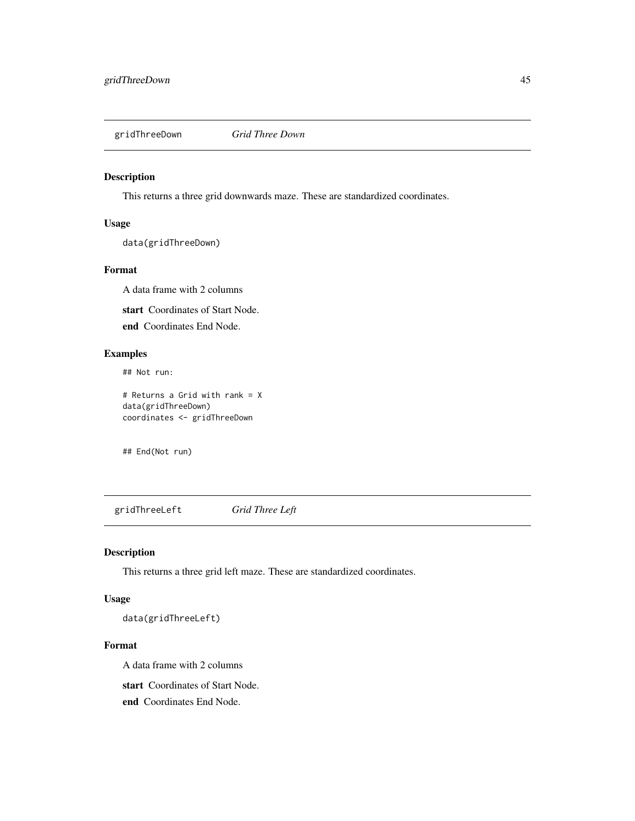<span id="page-44-0"></span>gridThreeDown *Grid Three Down*

# Description

This returns a three grid downwards maze. These are standardized coordinates.

#### Usage

data(gridThreeDown)

#### Format

A data frame with 2 columns

start Coordinates of Start Node.

end Coordinates End Node.

# Examples

## Not run:

# Returns a Grid with rank = X data(gridThreeDown) coordinates <- gridThreeDown

## End(Not run)

gridThreeLeft *Grid Three Left*

# Description

This returns a three grid left maze. These are standardized coordinates.

# Usage

data(gridThreeLeft)

#### Format

A data frame with 2 columns

start Coordinates of Start Node.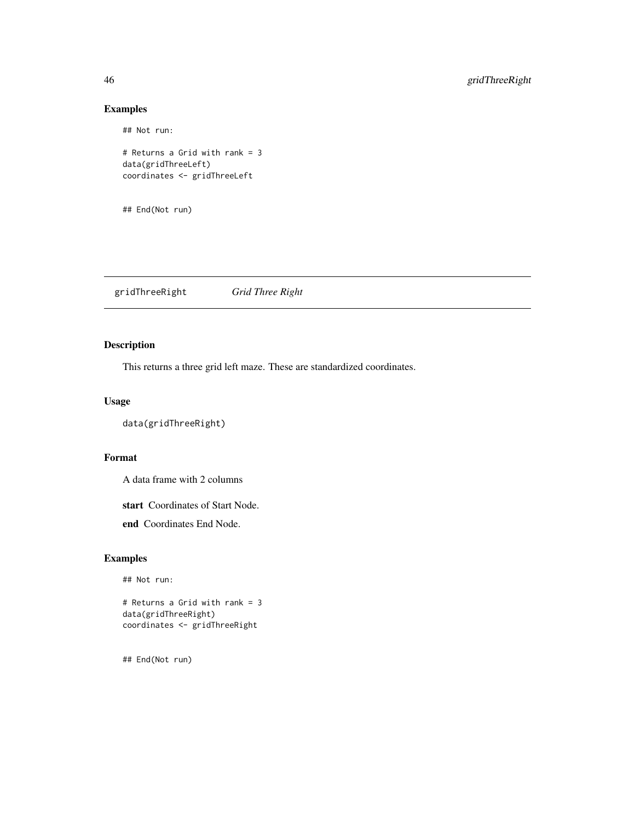## Not run:

```
# Returns a Grid with rank = 3
data(gridThreeLeft)
coordinates <- gridThreeLeft
```
## End(Not run)

gridThreeRight *Grid Three Right*

# Description

This returns a three grid left maze. These are standardized coordinates.

#### Usage

```
data(gridThreeRight)
```
#### Format

A data frame with 2 columns

start Coordinates of Start Node.

end Coordinates End Node.

# Examples

## Not run:

# Returns a Grid with rank = 3 data(gridThreeRight) coordinates <- gridThreeRight

<span id="page-45-0"></span>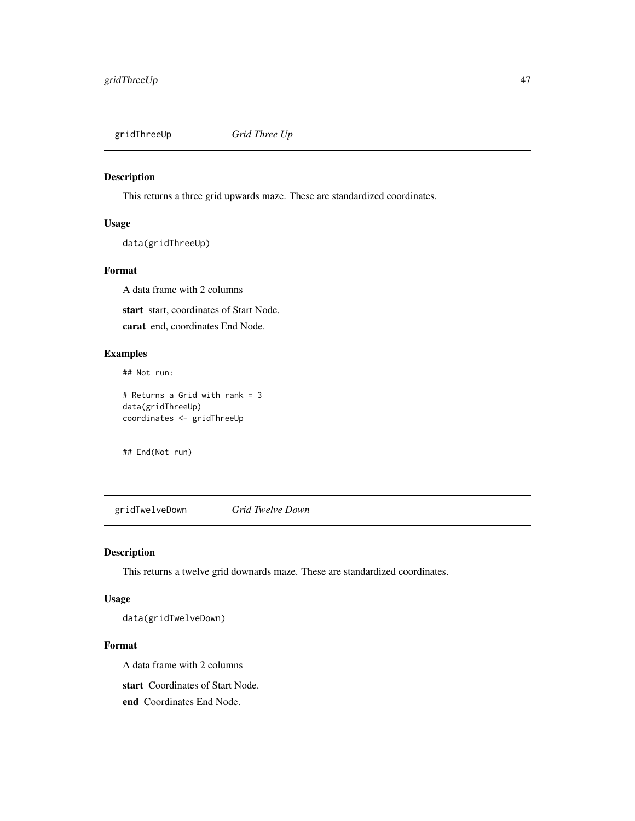<span id="page-46-0"></span>

# Description

This returns a three grid upwards maze. These are standardized coordinates.

#### Usage

data(gridThreeUp)

#### Format

A data frame with 2 columns

start start, coordinates of Start Node.

carat end, coordinates End Node.

# Examples

## Not run:

# Returns a Grid with rank = 3 data(gridThreeUp) coordinates <- gridThreeUp

## End(Not run)

gridTwelveDown *Grid Twelve Down*

# Description

This returns a twelve grid downards maze. These are standardized coordinates.

# Usage

data(gridTwelveDown)

#### Format

A data frame with 2 columns

start Coordinates of Start Node.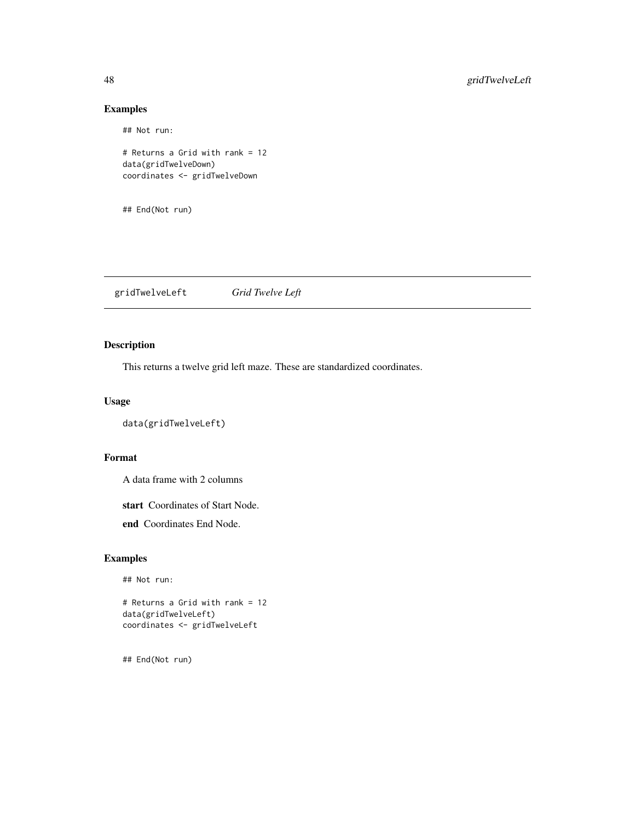## Not run:

# Returns a Grid with rank = 12 data(gridTwelveDown) coordinates <- gridTwelveDown

## End(Not run)

gridTwelveLeft *Grid Twelve Left*

# Description

This returns a twelve grid left maze. These are standardized coordinates.

#### Usage

```
data(gridTwelveLeft)
```
#### Format

A data frame with 2 columns

start Coordinates of Start Node.

end Coordinates End Node.

# Examples

## Not run:

# Returns a Grid with rank = 12 data(gridTwelveLeft) coordinates <- gridTwelveLeft

<span id="page-47-0"></span>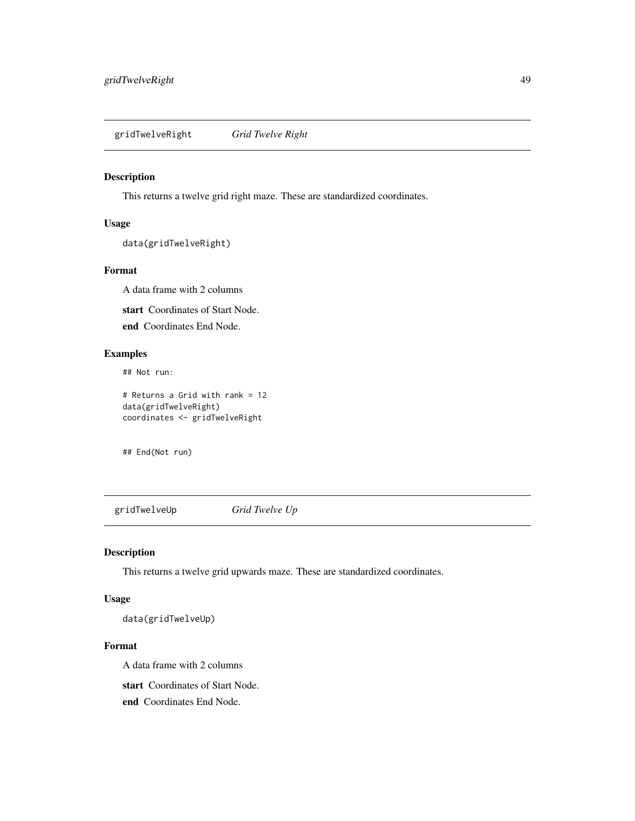<span id="page-48-0"></span>gridTwelveRight *Grid Twelve Right*

#### Description

This returns a twelve grid right maze. These are standardized coordinates.

#### Usage

```
data(gridTwelveRight)
```
#### Format

A data frame with 2 columns

start Coordinates of Start Node.

end Coordinates End Node.

# Examples

## Not run:

# Returns a Grid with rank = 12 data(gridTwelveRight) coordinates <- gridTwelveRight

## End(Not run)

gridTwelveUp *Grid Twelve Up*

# Description

This returns a twelve grid upwards maze. These are standardized coordinates.

# Usage

data(gridTwelveUp)

#### Format

A data frame with 2 columns

start Coordinates of Start Node.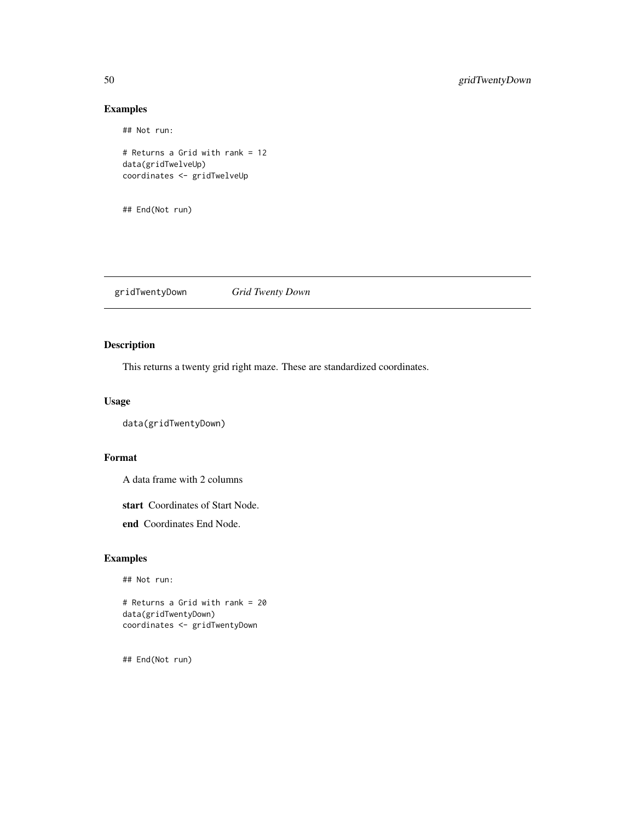## Not run:

# Returns a Grid with rank = 12 data(gridTwelveUp) coordinates <- gridTwelveUp

## End(Not run)

gridTwentyDown *Grid Twenty Down*

# Description

This returns a twenty grid right maze. These are standardized coordinates.

#### Usage

```
data(gridTwentyDown)
```
# Format

A data frame with 2 columns

start Coordinates of Start Node.

end Coordinates End Node.

# Examples

## Not run:

# Returns a Grid with rank = 20 data(gridTwentyDown) coordinates <- gridTwentyDown

<span id="page-49-0"></span>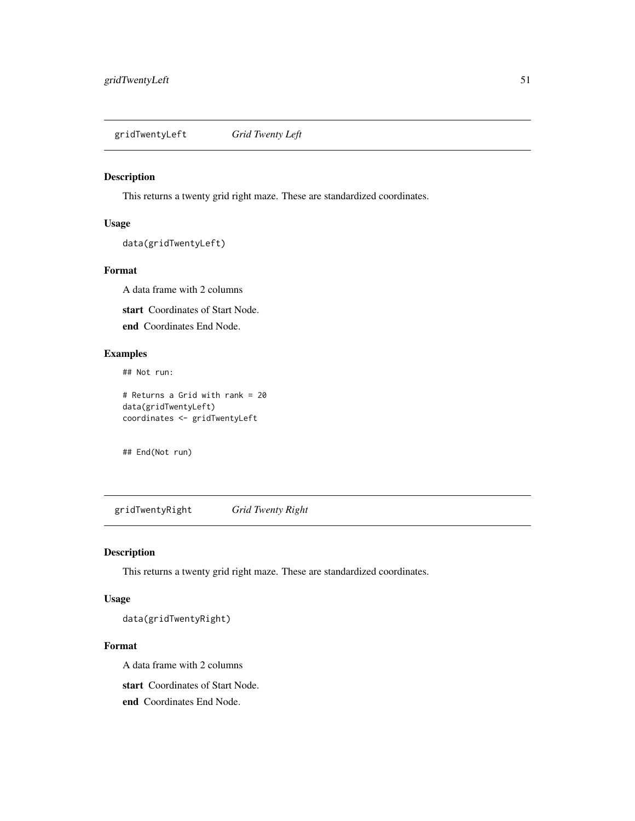<span id="page-50-0"></span>gridTwentyLeft *Grid Twenty Left*

#### Description

This returns a twenty grid right maze. These are standardized coordinates.

#### Usage

```
data(gridTwentyLeft)
```
#### Format

A data frame with 2 columns

start Coordinates of Start Node.

end Coordinates End Node.

# Examples

## Not run:

# Returns a Grid with rank = 20 data(gridTwentyLeft) coordinates <- gridTwentyLeft

## End(Not run)

gridTwentyRight *Grid Twenty Right*

# Description

This returns a twenty grid right maze. These are standardized coordinates.

# Usage

data(gridTwentyRight)

#### Format

A data frame with 2 columns

start Coordinates of Start Node.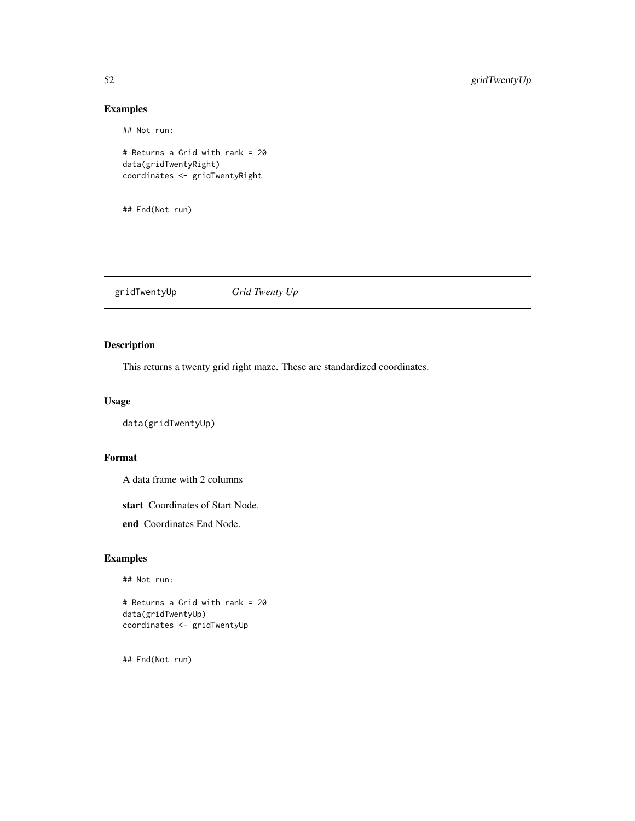## Not run:

# Returns a Grid with rank = 20 data(gridTwentyRight) coordinates <- gridTwentyRight

## End(Not run)

gridTwentyUp *Grid Twenty Up*

# Description

This returns a twenty grid right maze. These are standardized coordinates.

#### Usage

```
data(gridTwentyUp)
```
# Format

A data frame with 2 columns

start Coordinates of Start Node.

end Coordinates End Node.

# Examples

## Not run:

# Returns a Grid with rank = 20 data(gridTwentyUp) coordinates <- gridTwentyUp

<span id="page-51-0"></span>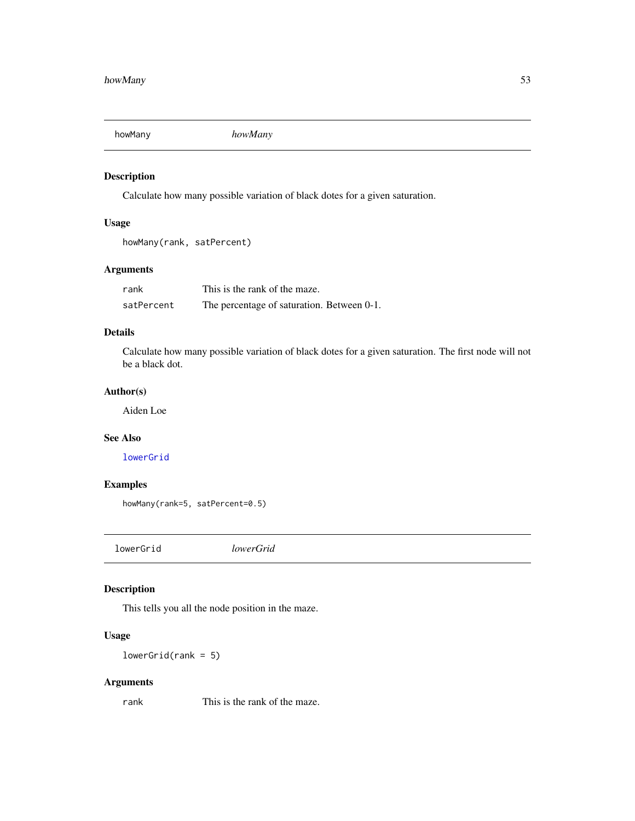<span id="page-52-0"></span>

# Description

Calculate how many possible variation of black dotes for a given saturation.

# Usage

howMany(rank, satPercent)

#### Arguments

| rank       | This is the rank of the maze.              |  |
|------------|--------------------------------------------|--|
| satPercent | The percentage of saturation. Between 0-1. |  |

# Details

Calculate how many possible variation of black dotes for a given saturation. The first node will not be a black dot.

# Author(s)

Aiden Loe

#### See Also

[lowerGrid](#page-52-1)

# Examples

howMany(rank=5, satPercent=0.5)

<span id="page-52-1"></span>lowerGrid *lowerGrid*

# Description

This tells you all the node position in the maze.

# Usage

 $lowerGrid(rank = 5)$ 

# Arguments

rank This is the rank of the maze.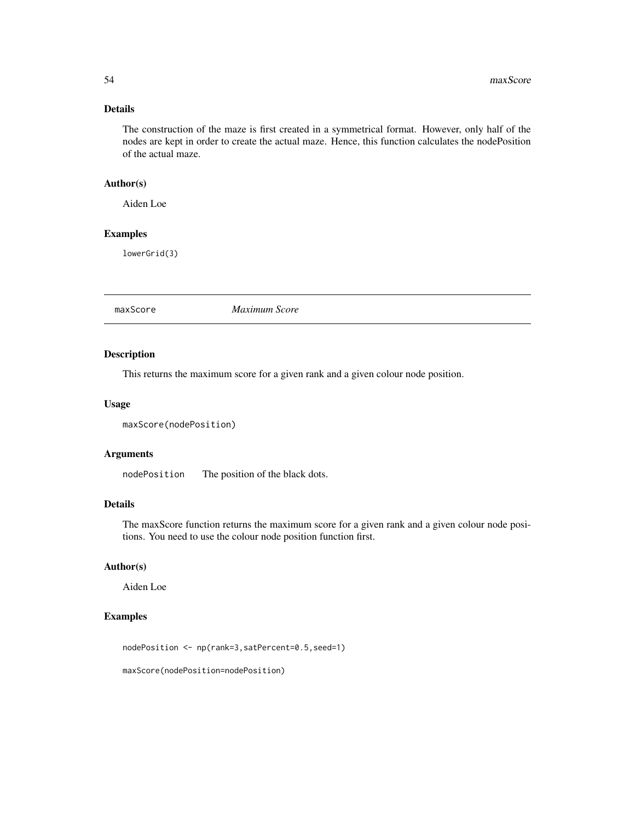# <span id="page-53-0"></span>Details

The construction of the maze is first created in a symmetrical format. However, only half of the nodes are kept in order to create the actual maze. Hence, this function calculates the nodePosition of the actual maze.

#### Author(s)

Aiden Loe

# Examples

lowerGrid(3)

<span id="page-53-1"></span>maxScore *Maximum Score*

#### Description

This returns the maximum score for a given rank and a given colour node position.

#### Usage

```
maxScore(nodePosition)
```
#### Arguments

nodePosition The position of the black dots.

# Details

The maxScore function returns the maximum score for a given rank and a given colour node positions. You need to use the colour node position function first.

#### Author(s)

Aiden Loe

#### Examples

nodePosition <- np(rank=3,satPercent=0.5,seed=1)

maxScore(nodePosition=nodePosition)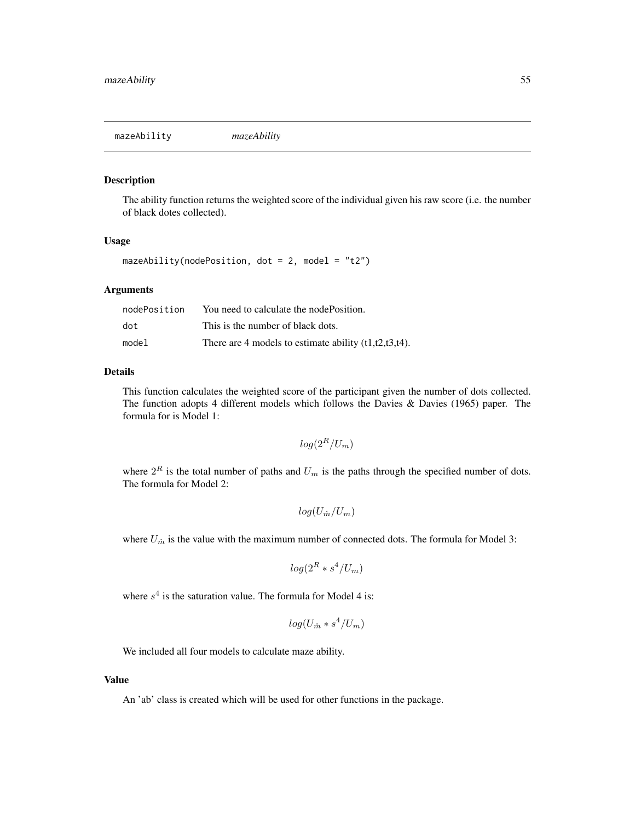<span id="page-54-1"></span><span id="page-54-0"></span>mazeAbility *mazeAbility*

#### Description

The ability function returns the weighted score of the individual given his raw score (i.e. the number of black dotes collected).

#### Usage

mazeAbility(nodePosition, dot = 2, model = "t2")

#### Arguments

| nodePosition | You need to calculate the node Position.                 |
|--------------|----------------------------------------------------------|
| dot          | This is the number of black dots.                        |
| model        | There are 4 models to estimate ability $(t1,t2,t3,t4)$ . |

#### Details

This function calculates the weighted score of the participant given the number of dots collected. The function adopts 4 different models which follows the Davies  $\&$  Davies (1965) paper. The formula for is Model 1:

$$
log(2^R/U_m)
$$

where  $2^R$  is the total number of paths and  $U_m$  is the paths through the specified number of dots. The formula for Model 2:

$$
log(U_{\hat{m}}/U_m)
$$

where  $U_{\hat{m}}$  is the value with the maximum number of connected dots. The formula for Model 3:

$$
\log(2^R * s^4/U_m)
$$

where  $s<sup>4</sup>$  is the saturation value. The formula for Model 4 is:

$$
log(U_{\hat{m}} * s^4/U_m)
$$

We included all four models to calculate maze ability.

#### Value

An 'ab' class is created which will be used for other functions in the package.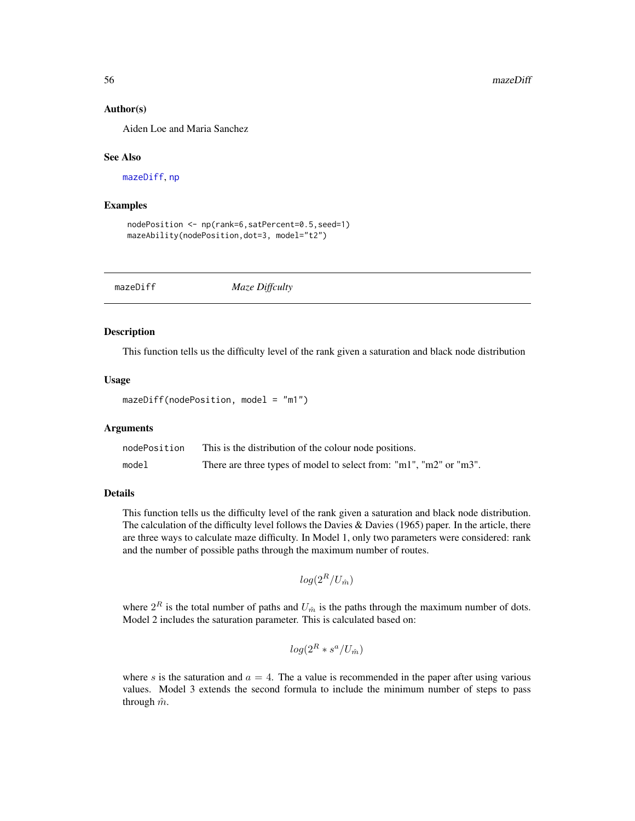#### Author(s)

Aiden Loe and Maria Sanchez

#### See Also

[mazeDiff](#page-55-1), [np](#page-61-1)

#### Examples

```
nodePosition <- np(rank=6,satPercent=0.5,seed=1)
mazeAbility(nodePosition,dot=3, model="t2")
```
<span id="page-55-1"></span>mazeDiff *Maze Diffculty*

#### Description

This function tells us the difficulty level of the rank given a saturation and black node distribution

#### Usage

```
mazeDiff(nodePosition, model = "m1")
```
#### Arguments

| nodePosition | This is the distribution of the colour node positions.             |
|--------------|--------------------------------------------------------------------|
| model        | There are three types of model to select from: "m1", "m2" or "m3". |

#### Details

This function tells us the difficulty level of the rank given a saturation and black node distribution. The calculation of the difficulty level follows the Davies  $\&$  Davies (1965) paper. In the article, there are three ways to calculate maze difficulty. In Model 1, only two parameters were considered: rank and the number of possible paths through the maximum number of routes.

```
log(2^R/U_{\hat{m}})
```
where  $2^R$  is the total number of paths and  $U_{\hat{m}}$  is the paths through the maximum number of dots. Model 2 includes the saturation parameter. This is calculated based on:

$$
log(2^R * s^a/U_{\hat{m}})
$$

where s is the saturation and  $a = 4$ . The a value is recommended in the paper after using various values. Model 3 extends the second formula to include the minimum number of steps to pass through  $\hat{m}$ .

<span id="page-55-0"></span>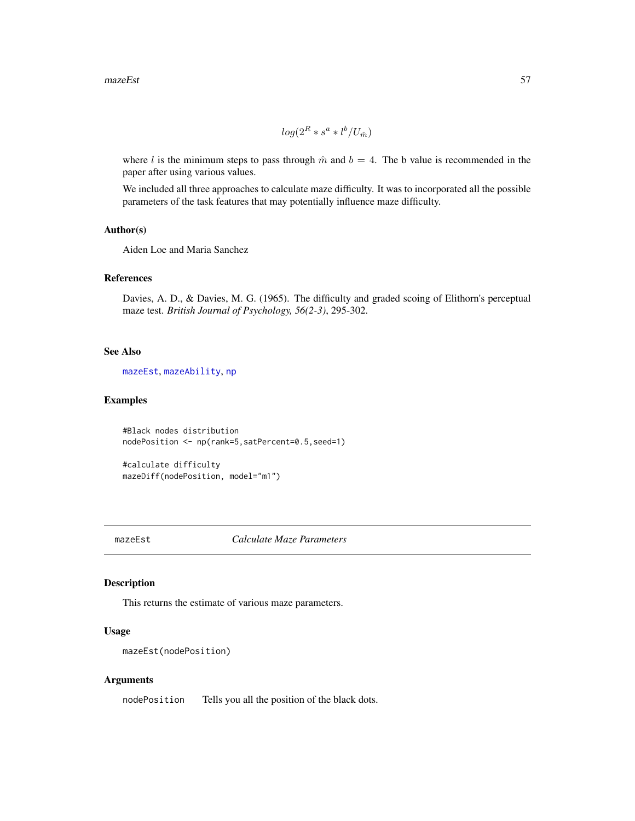#### <span id="page-56-0"></span> $mazeEst$  57

$$
\log(2^R * s^a * l^b / U_{\hat{m}})
$$

where l is the minimum steps to pass through  $\hat{m}$  and  $b = 4$ . The b value is recommended in the paper after using various values.

We included all three approaches to calculate maze difficulty. It was to incorporated all the possible parameters of the task features that may potentially influence maze difficulty.

#### Author(s)

Aiden Loe and Maria Sanchez

#### References

Davies, A. D., & Davies, M. G. (1965). The difficulty and graded scoing of Elithorn's perceptual maze test. *British Journal of Psychology, 56(2-3)*, 295-302.

#### See Also

[mazeEst](#page-56-1), [mazeAbility](#page-54-1), [np](#page-61-1)

# Examples

```
#Black nodes distribution
nodePosition <- np(rank=5,satPercent=0.5,seed=1)
```
#calculate difficulty mazeDiff(nodePosition, model="m1")

<span id="page-56-1"></span>mazeEst *Calculate Maze Parameters*

#### Description

This returns the estimate of various maze parameters.

#### Usage

```
mazeEst(nodePosition)
```
#### Arguments

nodePosition Tells you all the position of the black dots.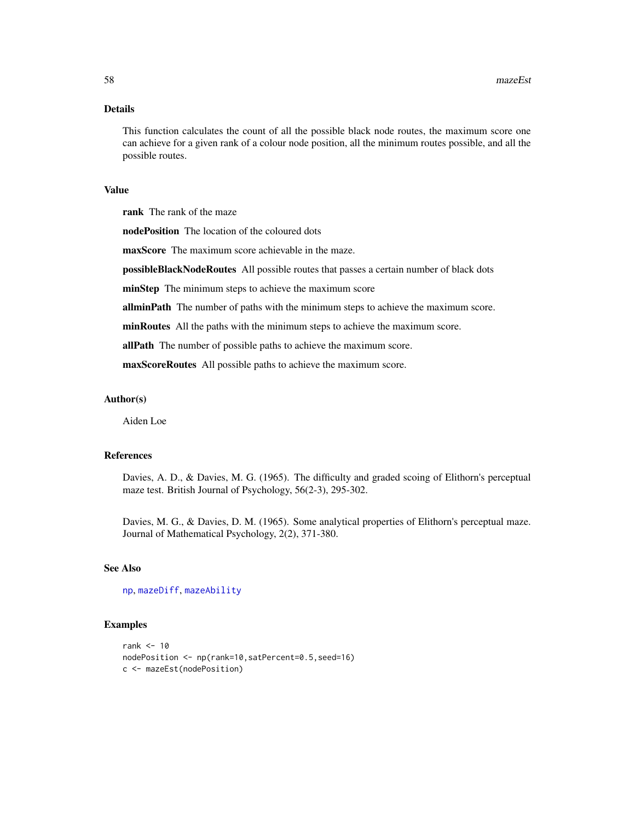#### <span id="page-57-0"></span>Details

This function calculates the count of all the possible black node routes, the maximum score one can achieve for a given rank of a colour node position, all the minimum routes possible, and all the possible routes.

#### Value

rank The rank of the maze

nodePosition The location of the coloured dots

maxScore The maximum score achievable in the maze.

possibleBlackNodeRoutes All possible routes that passes a certain number of black dots

minStep The minimum steps to achieve the maximum score

allminPath The number of paths with the minimum steps to achieve the maximum score.

minRoutes All the paths with the minimum steps to achieve the maximum score.

allPath The number of possible paths to achieve the maximum score.

maxScoreRoutes All possible paths to achieve the maximum score.

#### Author(s)

Aiden Loe

#### References

Davies, A. D., & Davies, M. G. (1965). The difficulty and graded scoing of Elithorn's perceptual maze test. British Journal of Psychology, 56(2-3), 295-302.

Davies, M. G., & Davies, D. M. (1965). Some analytical properties of Elithorn's perceptual maze. Journal of Mathematical Psychology, 2(2), 371-380.

#### See Also

[np](#page-61-1), [mazeDiff](#page-55-1), [mazeAbility](#page-54-1)

#### Examples

```
rank <- 10
nodePosition <- np(rank=10,satPercent=0.5,seed=16)
c <- mazeEst(nodePosition)
```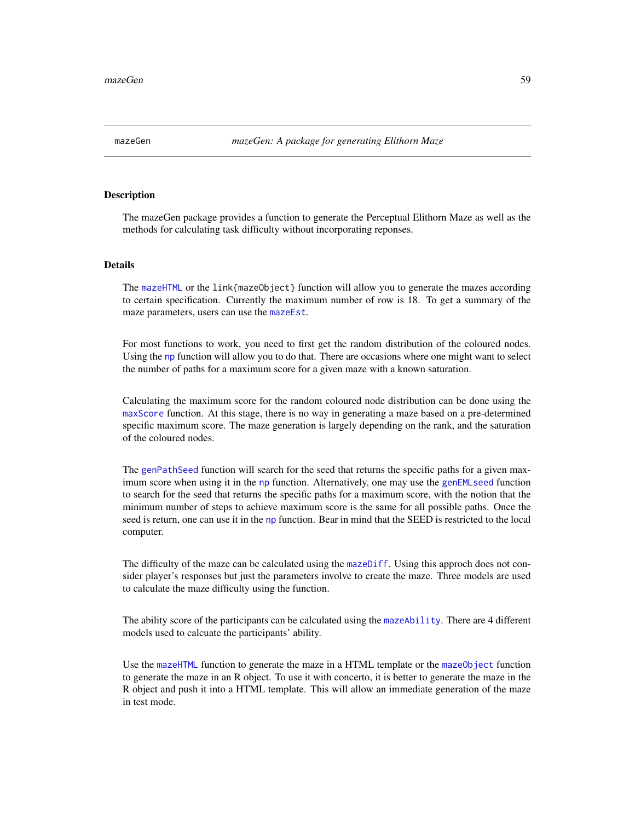<span id="page-58-0"></span>

#### **Description**

The mazeGen package provides a function to generate the Perceptual Elithorn Maze as well as the methods for calculating task difficulty without incorporating reponses.

#### Details

The [mazeHTML](#page-59-1) or the link{mazeObject} function will allow you to generate the mazes according to certain specification. Currently the maximum number of row is 18. To get a summary of the maze parameters, users can use the [mazeEst](#page-56-1).

For most functions to work, you need to first get the random distribution of the coloured nodes. Using the [np](#page-61-1) function will allow you to do that. There are occasions where one might want to select the number of paths for a maximum score for a given maze with a known saturation.

Calculating the maximum score for the random coloured node distribution can be done using the [maxScore](#page-53-1) function. At this stage, there is no way in generating a maze based on a pre-determined specific maximum score. The maze generation is largely depending on the rank, and the saturation of the coloured nodes.

The [genPathSeed](#page-4-1) function will search for the seed that returns the specific paths for a given maximum score when using it in the [np](#page-61-1) function. Alternatively, one may use the [genEMLseed](#page-2-1) function to search for the seed that returns the specific paths for a maximum score, with the notion that the minimum number of steps to achieve maximum score is the same for all possible paths. Once the seed is return, one can use it in the [np](#page-61-1) function. Bear in mind that the SEED is restricted to the local computer.

The difficulty of the maze can be calculated using the [mazeDiff](#page-55-1). Using this approch does not consider player's responses but just the parameters involve to create the maze. Three models are used to calculate the maze difficulty using the function.

The ability score of the participants can be calculated using the [mazeAbility](#page-54-1). There are 4 different models used to calcuate the participants' ability.

Use the [mazeHTML](#page-59-1) function to generate the maze in a HTML template or the [mazeObject](#page-60-1) function to generate the maze in an R object. To use it with concerto, it is better to generate the maze in the R object and push it into a HTML template. This will allow an immediate generation of the maze in test mode.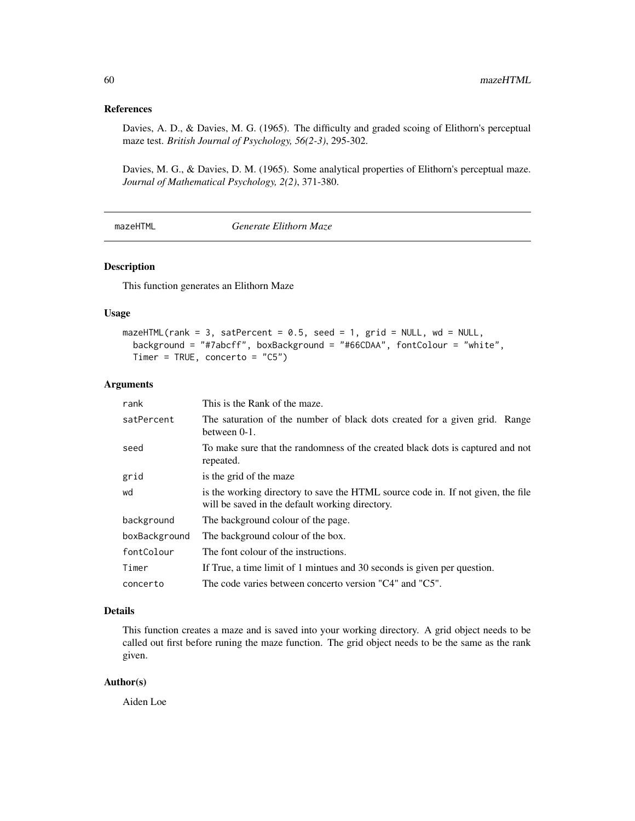# <span id="page-59-0"></span>References

Davies, A. D., & Davies, M. G. (1965). The difficulty and graded scoing of Elithorn's perceptual maze test. *British Journal of Psychology, 56(2-3)*, 295-302.

Davies, M. G., & Davies, D. M. (1965). Some analytical properties of Elithorn's perceptual maze. *Journal of Mathematical Psychology, 2(2)*, 371-380.

<span id="page-59-1"></span>mazeHTML *Generate Elithorn Maze*

#### Description

This function generates an Elithorn Maze

#### Usage

```
maxeHTML(rank = 3, satPercent = 0.5, seed = 1, grid = NULL, wd = NULL,
  background = "#7abcff", boxBackground = "#66CDAA", fontColour = "white",
  Timer = TRUE, concerto = "C5")
```
#### Arguments

| rank          | This is the Rank of the maze.                                                                                                       |
|---------------|-------------------------------------------------------------------------------------------------------------------------------------|
| satPercent    | The saturation of the number of black dots created for a given grid. Range<br>between $0-1$ .                                       |
| seed          | To make sure that the randomness of the created black dots is captured and not<br>repeated.                                         |
| grid          | is the grid of the maze                                                                                                             |
| wd            | is the working directory to save the HTML source code in. If not given, the file<br>will be saved in the default working directory. |
| background    | The background colour of the page.                                                                                                  |
| boxBackground | The background colour of the box.                                                                                                   |
| fontColour    | The font colour of the instructions.                                                                                                |
| Timer         | If True, a time limit of 1 mintues and 30 seconds is given per question.                                                            |
| concerto      | The code varies between concerto version "C4" and "C5".                                                                             |

#### Details

This function creates a maze and is saved into your working directory. A grid object needs to be called out first before runing the maze function. The grid object needs to be the same as the rank given.

#### Author(s)

Aiden Loe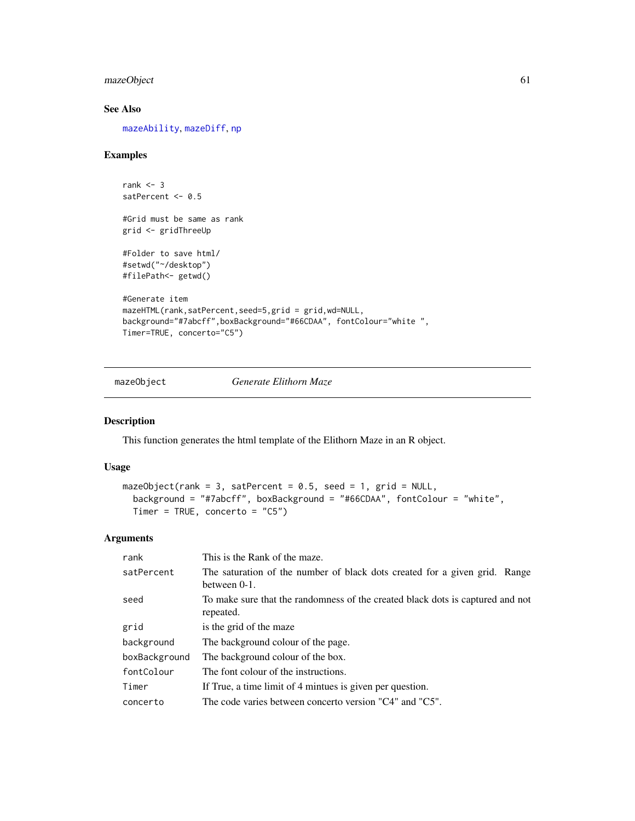# <span id="page-60-0"></span>mazeObject 61

# See Also

[mazeAbility](#page-54-1), [mazeDiff](#page-55-1), [np](#page-61-1)

# Examples

```
rank <-3satPercent <- 0.5
#Grid must be same as rank
grid <- gridThreeUp
#Folder to save html/
#setwd("~/desktop")
#filePath<- getwd()
#Generate item
mazeHTML(rank,satPercent,seed=5,grid = grid,wd=NULL,
background="#7abcff",boxBackground="#66CDAA", fontColour="white ",
Timer=TRUE, concerto="C5")
```
<span id="page-60-1"></span>mazeObject *Generate Elithorn Maze*

#### Description

This function generates the html template of the Elithorn Maze in an R object.

#### Usage

```
mazeObject(rank = 3, satPercent = 0.5, seed = 1, grid = NULL,
 background = "#7abcff", boxBackground = "#66CDAA", fontColour = "white",
 Timer = TRUE, concerto = "C5")
```
#### Arguments

| rank          | This is the Rank of the maze.                                                                 |
|---------------|-----------------------------------------------------------------------------------------------|
| satPercent    | The saturation of the number of black dots created for a given grid. Range<br>between $0-1$ . |
| seed          | To make sure that the randomness of the created black dots is captured and not<br>repeated.   |
| grid          | is the grid of the maze                                                                       |
| background    | The background colour of the page.                                                            |
| boxBackground | The background colour of the box.                                                             |
| fontColour    | The font colour of the instructions.                                                          |
| Timer         | If True, a time limit of 4 mintues is given per question.                                     |
| concerto      | The code varies between concerto version "C4" and "C5".                                       |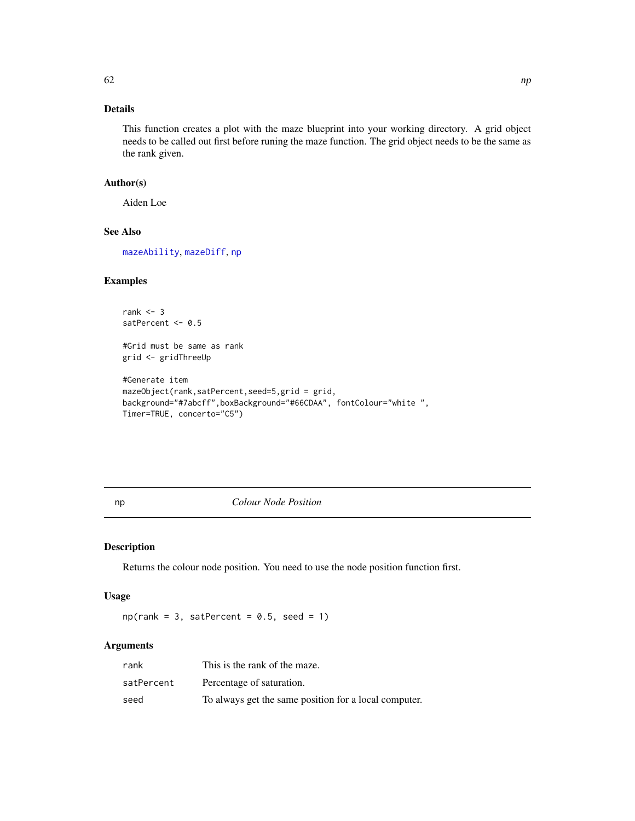# <span id="page-61-0"></span>Details

This function creates a plot with the maze blueprint into your working directory. A grid object needs to be called out first before runing the maze function. The grid object needs to be the same as the rank given.

# Author(s)

Aiden Loe

#### See Also

[mazeAbility](#page-54-1), [mazeDiff](#page-55-1), [np](#page-61-1)

# Examples

```
rank <-3satPercent <- 0.5
#Grid must be same as rank
grid <- gridThreeUp
#Generate item
mazeObject(rank,satPercent,seed=5,grid = grid,
background="#7abcff",boxBackground="#66CDAA", fontColour="white ",
```
Timer=TRUE, concerto="C5")

<span id="page-61-1"></span>np *Colour Node Position*

# Description

Returns the colour node position. You need to use the node position function first.

#### Usage

 $np(rank = 3, satPercent = 0.5, seed = 1)$ 

# Arguments

| rank       | This is the rank of the maze.                         |
|------------|-------------------------------------------------------|
| satPercent | Percentage of saturation.                             |
| seed       | To always get the same position for a local computer. |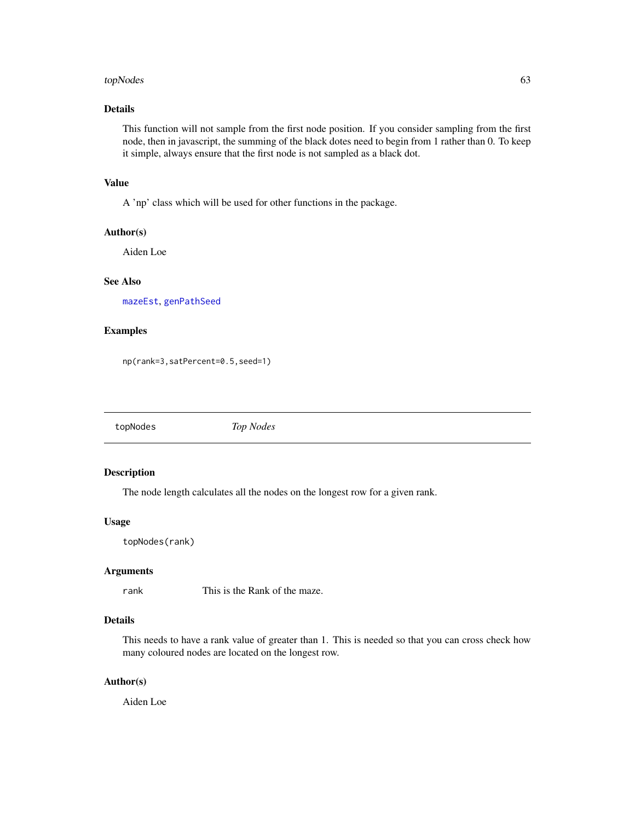#### <span id="page-62-0"></span>topNodes 63

#### Details

This function will not sample from the first node position. If you consider sampling from the first node, then in javascript, the summing of the black dotes need to begin from 1 rather than 0. To keep it simple, always ensure that the first node is not sampled as a black dot.

#### Value

A 'np' class which will be used for other functions in the package.

#### Author(s)

Aiden Loe

# See Also

[mazeEst](#page-56-1), [genPathSeed](#page-4-1)

# Examples

np(rank=3,satPercent=0.5,seed=1)

topNodes *Top Nodes*

# Description

The node length calculates all the nodes on the longest row for a given rank.

#### Usage

topNodes(rank)

# Arguments

rank This is the Rank of the maze.

#### Details

This needs to have a rank value of greater than 1. This is needed so that you can cross check how many coloured nodes are located on the longest row.

#### Author(s)

Aiden Loe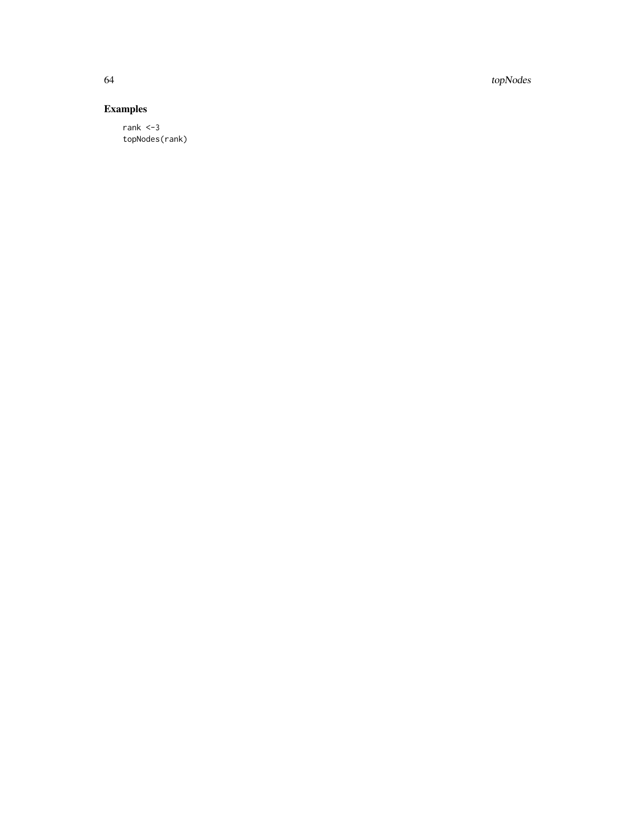64 topNodes

# Examples

rank <-3 topNodes(rank)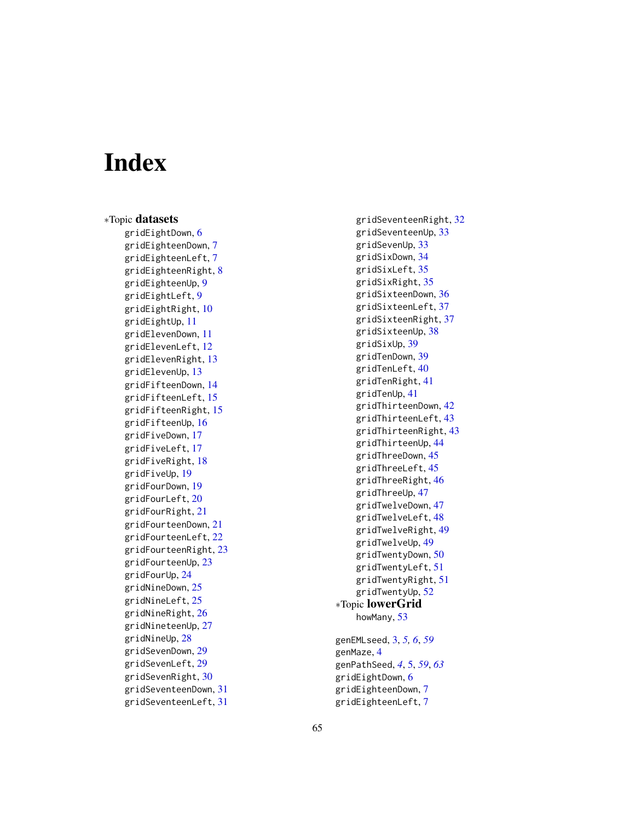# <span id="page-64-0"></span>Index

∗Topic datasets gridEightDown , [6](#page-5-0) gridEighteenDown , [7](#page-6-0) gridEighteenLeft , [7](#page-6-0) gridEighteenRight , [8](#page-7-0) gridEighteenUp , [9](#page-8-0) gridEightLeft , [9](#page-8-0) gridEightRight , [10](#page-9-0) gridEightUp , [11](#page-10-0) gridElevenDown , [11](#page-10-0) gridElevenLeft , [12](#page-11-0) gridElevenRight , [13](#page-12-0) gridElevenUp , [13](#page-12-0) gridFifteenDown , [14](#page-13-0) gridFifteenLeft , [15](#page-14-0) gridFifteenRight , [15](#page-14-0) gridFifteenUp , [16](#page-15-0) gridFiveDown , [17](#page-16-0) gridFiveLeft , [17](#page-16-0) gridFiveRight , [18](#page-17-0) gridFiveUp , [19](#page-18-0) gridFourDown , [19](#page-18-0) gridFourLeft , [20](#page-19-0) gridFourRight , [21](#page-20-0) gridFourteenDown , [21](#page-20-0) gridFourteenLeft , [22](#page-21-0) gridFourteenRight , [23](#page-22-0) gridFourteenUp , [23](#page-22-0) gridFourUp , [24](#page-23-0) gridNineDown, [25](#page-24-0) gridNineLeft , [25](#page-24-0) gridNineRight , [26](#page-25-0) gridNineteenUp , [27](#page-26-0) gridNineUp , [28](#page-27-0) gridSevenDown, [29](#page-28-0) gridSevenLeft , [29](#page-28-0) gridSevenRight , [30](#page-29-0) gridSeventeenDown , [31](#page-30-0) gridSeventeenLeft , [31](#page-30-0)

gridSeventeenRight , [32](#page-31-0) gridSeventeenUp , [33](#page-32-0) gridSevenUp , [33](#page-32-0) gridSixDown , [34](#page-33-0) gridSixLeft , [35](#page-34-0) gridSixRight , [35](#page-34-0) gridSixteenDown , [36](#page-35-0) gridSixteenLeft , [37](#page-36-0) gridSixteenRight , [37](#page-36-0) gridSixteenUp, [38](#page-37-0) gridSixUp , [39](#page-38-0) gridTenDown , [39](#page-38-0) gridTenLeft , [40](#page-39-0) gridTenRight , [41](#page-40-0) gridTenUp , [41](#page-40-0) gridThirteenDown , [42](#page-41-0) gridThirteenLeft , [43](#page-42-0) gridThirteenRight , [43](#page-42-0) gridThirteenUp , [44](#page-43-0) gridThreeDown, [45](#page-44-0) gridThreeLeft, [45](#page-44-0) gridThreeRight , [46](#page-45-0) gridThreeUp , [47](#page-46-0) gridTwelveDown , [47](#page-46-0) gridTwelveLeft , [48](#page-47-0) gridTwelveRight , [49](#page-48-0) gridTwelveUp , [49](#page-48-0) gridTwentyDown , [50](#page-49-0) gridTwentyLeft , [51](#page-50-0) gridTwentyRight , [51](#page-50-0) gridTwentyUp , [52](#page-51-0) ∗Topic lowerGrid howMany, [53](#page-52-0) genEMLseed , [3](#page-2-0) , *[5](#page-4-0) , [6](#page-5-0)* , *[59](#page-58-0)* genMaze, [4](#page-3-0) genPathSeed , *[4](#page-3-0)* , [5](#page-4-0) , *[59](#page-58-0)* , *[63](#page-62-0)* gridEightDown , [6](#page-5-0)

gridEighteenDown , [7](#page-6-0) gridEighteenLeft , [7](#page-6-0)